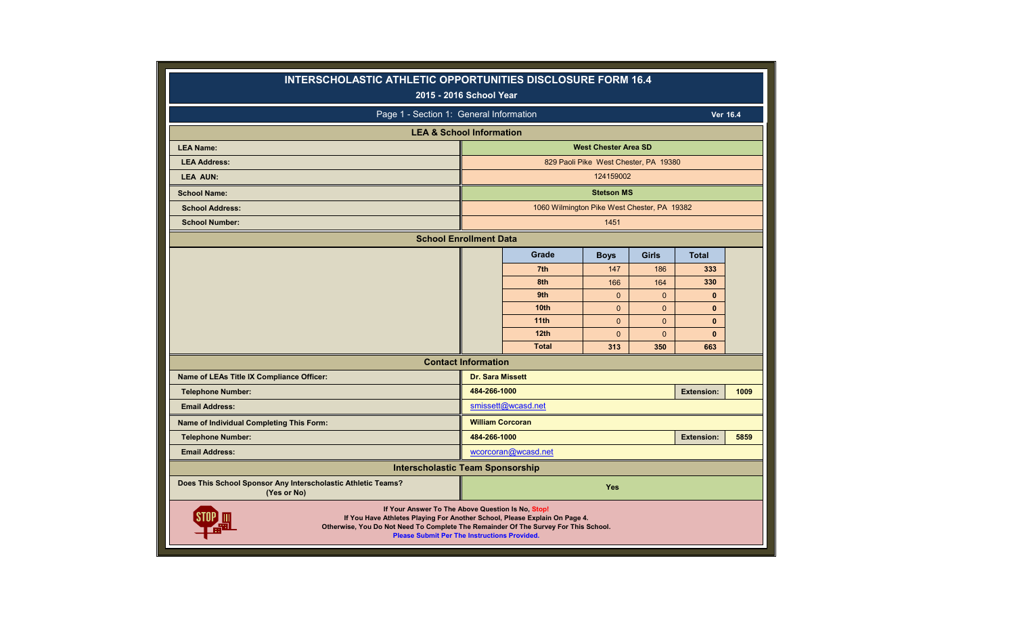| <b>INTERSCHOLASTIC ATHLETIC OPPORTUNITIES DISCLOSURE FORM 16.4</b><br>2015 - 2016 School Year                                                                                                                                                                                 |                            |                                             |                                       |                 |                     |          |
|-------------------------------------------------------------------------------------------------------------------------------------------------------------------------------------------------------------------------------------------------------------------------------|----------------------------|---------------------------------------------|---------------------------------------|-----------------|---------------------|----------|
| Page 1 - Section 1: General Information                                                                                                                                                                                                                                       |                            |                                             |                                       |                 |                     | Ver 16.4 |
| <b>LEA &amp; School Information</b>                                                                                                                                                                                                                                           |                            |                                             |                                       |                 |                     |          |
| <b>LEA Name:</b>                                                                                                                                                                                                                                                              |                            |                                             | <b>West Chester Area SD</b>           |                 |                     |          |
| <b>LEA Address:</b>                                                                                                                                                                                                                                                           |                            |                                             | 829 Paoli Pike West Chester, PA 19380 |                 |                     |          |
| <b>LEA AUN:</b>                                                                                                                                                                                                                                                               |                            |                                             | 124159002                             |                 |                     |          |
| <b>School Name:</b>                                                                                                                                                                                                                                                           |                            |                                             | <b>Stetson MS</b>                     |                 |                     |          |
| <b>School Address:</b>                                                                                                                                                                                                                                                        |                            | 1060 Wilmington Pike West Chester, PA 19382 |                                       |                 |                     |          |
| <b>School Number:</b>                                                                                                                                                                                                                                                         |                            |                                             | 1451                                  |                 |                     |          |
| <b>School Enrollment Data</b>                                                                                                                                                                                                                                                 |                            |                                             |                                       |                 |                     |          |
|                                                                                                                                                                                                                                                                               |                            | Grade                                       | <b>Boys</b>                           | <b>Girls</b>    | <b>Total</b>        |          |
|                                                                                                                                                                                                                                                                               |                            | 7 <sup>th</sup>                             | 147                                   | 186             | 333                 |          |
|                                                                                                                                                                                                                                                                               |                            | 8th                                         | 166                                   | 164             | 330                 |          |
|                                                                                                                                                                                                                                                                               |                            | 9th                                         | $\mathbf{0}$                          | $\mathbf{0}$    | $\mathbf{0}$        |          |
|                                                                                                                                                                                                                                                                               |                            | 10 <sub>th</sub>                            | $\mathbf{0}$                          | $\mathbf{0}$    | $\mathbf{0}$        |          |
|                                                                                                                                                                                                                                                                               |                            | 11th                                        | $\mathbf{0}$                          | $\Omega$        | $\mathbf{0}$        |          |
|                                                                                                                                                                                                                                                                               |                            | 12 <sub>th</sub><br><b>Total</b>            | $\Omega$<br>313                       | $\Omega$<br>350 | $\mathbf{0}$<br>663 |          |
|                                                                                                                                                                                                                                                                               | <b>Contact Information</b> |                                             |                                       |                 |                     |          |
| Name of LEAs Title IX Compliance Officer:                                                                                                                                                                                                                                     | <b>Dr. Sara Missett</b>    |                                             |                                       |                 |                     |          |
| <b>Telephone Number:</b>                                                                                                                                                                                                                                                      | 484-266-1000               |                                             |                                       |                 | <b>Extension:</b>   | 1009     |
| <b>Email Address:</b>                                                                                                                                                                                                                                                         |                            | smissett@wcasd.net                          |                                       |                 |                     |          |
| Name of Individual Completing This Form:                                                                                                                                                                                                                                      | <b>William Corcoran</b>    |                                             |                                       |                 |                     |          |
| <b>Telephone Number:</b>                                                                                                                                                                                                                                                      | 484-266-1000               |                                             |                                       |                 | <b>Extension:</b>   | 5859     |
| <b>Email Address:</b>                                                                                                                                                                                                                                                         |                            | wcorcoran@wcasd.net                         |                                       |                 |                     |          |
| <b>Interscholastic Team Sponsorship</b>                                                                                                                                                                                                                                       |                            |                                             |                                       |                 |                     |          |
| Does This School Sponsor Any Interscholastic Athletic Teams?<br>(Yes or No)                                                                                                                                                                                                   |                            |                                             | <b>Yes</b>                            |                 |                     |          |
| If Your Answer To The Above Question Is No, Stop!<br>If You Have Athletes Playing For Another School, Please Explain On Page 4.<br>Otherwise, You Do Not Need To Complete The Remainder Of The Survey For This School.<br><b>Please Submit Per The Instructions Provided.</b> |                            |                                             |                                       |                 |                     |          |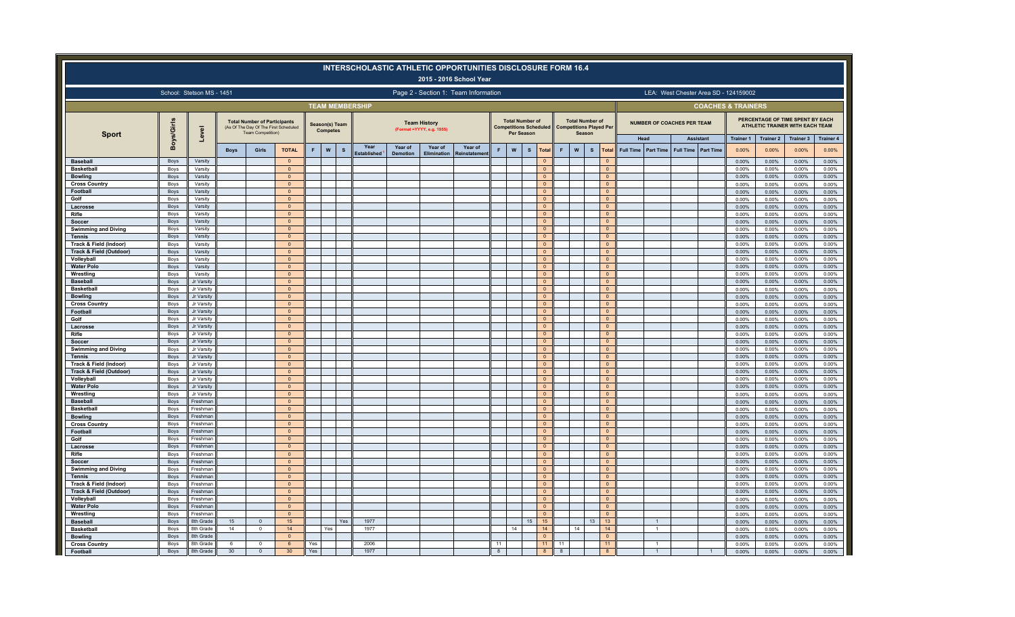|                                                   |                   |                           |                  |                                                                                                   |                                  |     |                                           | <b>INTERSCHOLASTIC ATHLETIC OPPORTUNITIES DISCLOSURE FORM 16.4</b> |                 |                                                   | 2015 - 2016 School Year              |          |                                      |              |                                  |                                                       |                                  |                                  |                               |                                   |                                      |                                       |                           |                                                                     |                           |
|---------------------------------------------------|-------------------|---------------------------|------------------|---------------------------------------------------------------------------------------------------|----------------------------------|-----|-------------------------------------------|--------------------------------------------------------------------|-----------------|---------------------------------------------------|--------------------------------------|----------|--------------------------------------|--------------|----------------------------------|-------------------------------------------------------|----------------------------------|----------------------------------|-------------------------------|-----------------------------------|--------------------------------------|---------------------------------------|---------------------------|---------------------------------------------------------------------|---------------------------|
|                                                   |                   | School: Stetson MS - 1451 |                  |                                                                                                   |                                  |     |                                           |                                                                    |                 |                                                   | Page 2 - Section 1: Team Information |          |                                      |              |                                  |                                                       |                                  |                                  |                               |                                   |                                      | LEA: West Chester Area SD - 124159002 |                           |                                                                     |                           |
|                                                   |                   |                           |                  |                                                                                                   |                                  |     |                                           | <b>TEAM MEMBERSHIP</b>                                             |                 |                                                   |                                      |          |                                      |              |                                  |                                                       |                                  |                                  |                               |                                   |                                      | <b>COACHES &amp; TRAINERS</b>         |                           |                                                                     |                           |
| <b>Sport</b>                                      | <b>Boys/Girls</b> | $\overline{a}$            |                  | <b>Total Number of Participants</b><br>(As Of The Day Of The First Scheduled<br>Team Competition) |                                  |     | Season(s) Team<br><b>Competes</b>         |                                                                    |                 | <b>Team History</b><br>(Format = YYYY, e.g. 1955) |                                      |          | <b>Total Number of</b><br>Per Season |              |                                  | <b>Competitions Scheduled Competitions Played Per</b> | <b>Total Number of</b><br>Season |                                  |                               | <b>NUMBER OF COACHES PER TEAM</b> |                                      |                                       |                           | PERCENTAGE OF TIME SPENT BY EACH<br>ATHLETIC TRAINER WITH EACH TEAM |                           |
|                                                   |                   | δP                        | <b>Boys</b>      | Girls                                                                                             | <b>TOTAL</b>                     | F   | $\boldsymbol{\mathsf{W}}$<br>$\mathbf{s}$ | Year                                                               | Year of         | Year of                                           | Year of                              | F        | $\boldsymbol{\mathsf{w}}$            | $\texttt{s}$ | Total                            | F                                                     | W<br>$\mathbf{s}$                | Total                            | Head<br>Full Time   Part Time | <b>Full Time</b>                  | <b>Assistant</b><br><b>Part Time</b> | <b>Trainer 1</b><br>0.00%             | <b>Trainer 2</b><br>0.00% | Trainer 3<br>0.00%                                                  | <b>Trainer 4</b><br>0.00% |
| <b>Baseball</b>                                   | Boys              | Varsity                   |                  |                                                                                                   | $\circ$                          |     |                                           | stablished                                                         | <b>Demotion</b> | <b>Elimination</b>                                | रeinstatemen                         |          |                                      |              | $\Omega$                         |                                                       |                                  | $\Omega$                         |                               |                                   |                                      | 0.00%                                 | 0.00%                     | 0.00%                                                               | 0.00%                     |
| <b>Basketball</b>                                 | Boys              | Varsity                   |                  |                                                                                                   | $\Omega$                         |     |                                           |                                                                    |                 |                                                   |                                      |          |                                      |              | $\Omega$                         |                                                       |                                  | $\mathsf{O}\xspace$              |                               |                                   |                                      | 0.00%                                 | 0.00%                     | 0.00%                                                               | 0.00%                     |
| <b>Bowling</b>                                    | Boys              | Varsity                   |                  |                                                                                                   | $\Omega$                         |     |                                           |                                                                    |                 |                                                   |                                      |          |                                      |              | $\Omega$                         |                                                       |                                  | $\overline{0}$                   |                               |                                   |                                      | 0.00%                                 | 0.00%                     | 0.00%                                                               | 0.00%                     |
| <b>Cross Country</b>                              | Boys              | Varsity                   |                  |                                                                                                   | $\Omega$                         |     |                                           |                                                                    |                 |                                                   |                                      |          |                                      |              | $\Omega$                         |                                                       |                                  | $\mathbf{0}$                     |                               |                                   |                                      | 0.00%                                 | 0.00%                     | 0.00%                                                               | 0.00%                     |
| Football                                          | Boys              | Varsity                   |                  |                                                                                                   | $\mathbf{0}$<br>$\mathbf{0}$     |     |                                           |                                                                    |                 |                                                   |                                      |          |                                      |              | $\Omega$<br>$\Omega$             |                                                       |                                  | $\mathbf{0}$<br>$\mathbf{0}$     |                               |                                   |                                      | 0.00%                                 | 0.00%                     | 0.00%                                                               | 0.00%                     |
| Golf<br>Lacrosse                                  | Boys<br>Boys      | Varsity<br>Varsity        |                  |                                                                                                   | $\Omega$                         |     |                                           |                                                                    |                 |                                                   |                                      |          |                                      |              | $\Omega$                         |                                                       |                                  | $\overline{0}$                   |                               |                                   |                                      | 0.00%<br>0.00%                        | 0.00%<br>0.00%            | 0.00%<br>0.00%                                                      | 0.00%<br>0.00%            |
| Rifle                                             | Boys              | Varsity                   |                  |                                                                                                   | $\overline{0}$                   |     |                                           |                                                                    |                 |                                                   |                                      |          |                                      |              | $\circ$                          |                                                       |                                  | $\overline{0}$                   |                               |                                   |                                      | 0.00%                                 | 0.00%                     | 0.00%                                                               | 0.00%                     |
| Soccer                                            | Boys              | Varsity                   |                  |                                                                                                   | $\overline{0}$                   |     |                                           |                                                                    |                 |                                                   |                                      |          |                                      |              | $\overline{0}$                   |                                                       |                                  | $\overline{0}$                   |                               |                                   |                                      | 0.00%                                 | 0.00%                     | 0.00%                                                               | 0.00%                     |
| <b>Swimming and Diving</b>                        | Boys              | Varsity                   |                  |                                                                                                   | $\mathbf{0}$                     |     |                                           |                                                                    |                 |                                                   |                                      |          |                                      |              | $\mathbf{0}$                     |                                                       |                                  | $\overline{0}$                   |                               |                                   |                                      | 0.00%                                 | 0.00%                     | 0.00%                                                               | 0.00%                     |
| <b>Tennis</b>                                     | Boys              | Varsity                   |                  |                                                                                                   | $\Omega$                         |     |                                           |                                                                    |                 |                                                   |                                      |          |                                      |              | $\Omega$                         |                                                       |                                  | $\Omega$                         |                               |                                   |                                      | 0.00%                                 | 0.00%                     | 0.00%                                                               | 0.00%                     |
| Track & Field (Indoor)<br>Track & Field (Outdoor) | Boys<br>Boys      | Varsity<br>Varsity        |                  |                                                                                                   | $\overline{0}$<br>$\overline{0}$ |     |                                           |                                                                    |                 |                                                   |                                      |          |                                      |              | $\overline{0}$<br>$\overline{0}$ |                                                       |                                  | $\overline{0}$<br>$\overline{0}$ |                               |                                   |                                      | 0.00%<br>0.00%                        | 0.00%<br>0.00%            | 0.00%<br>0.00%                                                      | 0.00%<br>0.00%            |
| Volleyball                                        | Boys              | Varsity                   |                  |                                                                                                   | $\mathbf{0}$                     |     |                                           |                                                                    |                 |                                                   |                                      |          |                                      |              | $\mathbf{0}$                     |                                                       |                                  | $\circ$                          |                               |                                   |                                      | 0.00%                                 | 0.00%                     | 0.00%                                                               | 0.00%                     |
| <b>Water Polo</b>                                 | Boys              | Varsity                   |                  |                                                                                                   | $\mathbf{0}$                     |     |                                           |                                                                    |                 |                                                   |                                      |          |                                      |              | $\Omega$                         |                                                       |                                  | $\circ$                          |                               |                                   |                                      | 0.00%                                 | 0.00%                     | 0.00%                                                               | 0.00%                     |
| Wrestling                                         | Boys              | Varsity                   |                  |                                                                                                   | $\overline{0}$                   |     |                                           |                                                                    |                 |                                                   |                                      |          |                                      |              | $\circ$                          |                                                       |                                  | $\overline{0}$                   |                               |                                   |                                      | 0.00%                                 | 0.00%                     | 0.00%                                                               | 0.00%                     |
| <b>Baseball</b>                                   | Boys              | Jr Varsity                |                  |                                                                                                   | $\overline{0}$                   |     |                                           |                                                                    |                 |                                                   |                                      |          |                                      |              | $\overline{0}$                   |                                                       |                                  | $\overline{0}$                   |                               |                                   |                                      | 0.00%                                 | 0.00%                     | 0.00%                                                               | 0.00%                     |
| <b>Basketball</b>                                 | Boys              | Jr Varsity<br>Jr Varsity  |                  |                                                                                                   | $\mathbf{0}$<br>$\overline{0}$   |     |                                           |                                                                    |                 |                                                   |                                      |          |                                      |              | $\overline{0}$<br>$\mathbf{0}$   |                                                       |                                  | $\overline{0}$<br>$\mathbf{0}$   |                               |                                   |                                      | 0.00%                                 | 0.00%                     | 0.00%                                                               | 0.00%                     |
| <b>Bowling</b><br><b>Cross Country</b>            | Boys<br>Boys      | Jr Varsity                |                  |                                                                                                   | $\mathbf 0$                      |     |                                           |                                                                    |                 |                                                   |                                      |          |                                      |              | $\overline{0}$                   |                                                       |                                  | $\overline{0}$                   |                               |                                   |                                      | 0.00%<br>0.00%                        | 0.00%<br>0.00%            | 0.00%<br>0.00%                                                      | 0.00%<br>0.00%            |
| Football                                          | Boys              | Jr Varsity                |                  |                                                                                                   | $\Omega$                         |     |                                           |                                                                    |                 |                                                   |                                      |          |                                      |              | $\overline{0}$                   |                                                       |                                  | $\overline{0}$                   |                               |                                   |                                      | 0.00%                                 | 0.00%                     | 0.00%                                                               | $0.00\%$                  |
| Golf                                              | Boys              | Jr Varsity                |                  |                                                                                                   | $\Omega$                         |     |                                           |                                                                    |                 |                                                   |                                      |          |                                      |              | $\Omega$                         |                                                       |                                  | $\overline{0}$                   |                               |                                   |                                      | 0.00%                                 | 0.00%                     | 0.00%                                                               | 0.00%                     |
| Lacrosse                                          | Boys              | Jr Varsity                |                  |                                                                                                   | $\Omega$                         |     |                                           |                                                                    |                 |                                                   |                                      |          |                                      |              | $\overline{0}$                   |                                                       |                                  | $\Omega$                         |                               |                                   |                                      | 0.00%                                 | 0.00%                     | 0.00%                                                               | 0.00%                     |
| Rifle                                             | Boys              | Jr Varsity                |                  |                                                                                                   | $\mathbf{0}$                     |     |                                           |                                                                    |                 |                                                   |                                      |          |                                      |              | $\circ$                          |                                                       |                                  | $\overline{0}$                   |                               |                                   |                                      | 0.00%                                 | 0.00%                     | 0.00%                                                               | 0.00%                     |
| Soccer<br><b>Swimming and Diving</b>              | Boys<br>Boys      | Jr Varsity<br>Jr Varsity  |                  |                                                                                                   | $\overline{0}$<br>$\mathbf 0$    |     |                                           |                                                                    |                 |                                                   |                                      |          |                                      |              | $\overline{0}$<br>$\circ$        |                                                       |                                  | $\overline{0}$<br>$\circ$        |                               |                                   |                                      | 0.00%<br>0.00%                        | 0.00%<br>0.00%            | 0.00%<br>0.00%                                                      | 0.00%<br>0.00%            |
| <b>Tennis</b>                                     | Boys              | Jr Varsity                |                  |                                                                                                   | $\mathbf{0}$                     |     |                                           |                                                                    |                 |                                                   |                                      |          |                                      |              | $\mathbf{0}$                     |                                                       |                                  | $\circ$                          |                               |                                   |                                      | 0.00%                                 | 0.00%                     | 0.00%                                                               | 0.00%                     |
| Track & Field (Indoor)                            | Boys              | Jr Varsity                |                  |                                                                                                   | $\Omega$                         |     |                                           |                                                                    |                 |                                                   |                                      |          |                                      |              | $\overline{0}$                   |                                                       |                                  | $\overline{0}$                   |                               |                                   |                                      | 0.00%                                 | 0.00%                     | 0.00%                                                               | 0.00%                     |
| Track & Field (Outdoor)                           | Boys              | Jr Varsity                |                  |                                                                                                   | $\mathbf{0}$                     |     |                                           |                                                                    |                 |                                                   |                                      |          |                                      |              | $\overline{0}$                   |                                                       |                                  | $\mathbf{0}$                     |                               |                                   |                                      | 0.00%                                 | 0.00%                     | 0.00%                                                               | $0.00\%$                  |
| Volleyball                                        | Boys              | Jr Varsity                |                  |                                                                                                   | $\Omega$                         |     |                                           |                                                                    |                 |                                                   |                                      |          |                                      |              | $\mathbf 0$                      |                                                       |                                  | $\mathbf{0}$                     |                               |                                   |                                      | 0.00%                                 | 0.00%                     | 0.00%                                                               | 0.00%                     |
| <b>Water Polo</b>                                 | Boys              | Jr Varsity                |                  |                                                                                                   | $\Omega$                         |     |                                           |                                                                    |                 |                                                   |                                      |          |                                      |              | $\Omega$<br>$\overline{0}$       |                                                       |                                  | $\Omega$<br>$\overline{0}$       |                               |                                   |                                      | 0.00%                                 | 0.00%                     | 0.00%                                                               | 0.00%                     |
| Wrestling<br><b>Baseball</b>                      | Boys<br>Boys      | Jr Varsity<br>Freshman    |                  |                                                                                                   | $\mathbf{0}$<br>$\overline{0}$   |     |                                           |                                                                    |                 |                                                   |                                      |          |                                      |              | $\overline{0}$                   |                                                       |                                  | $\overline{0}$                   |                               |                                   |                                      | 0.00%<br>0.00%                        | 0.00%<br>0.00%            | 0.00%<br>0.00%                                                      | 0.00%<br>0.00%            |
| <b>Basketball</b>                                 | Boys              | Freshman                  |                  |                                                                                                   | $\mathbf{0}$                     |     |                                           |                                                                    |                 |                                                   |                                      |          |                                      |              | $\overline{0}$                   |                                                       |                                  | $\overline{0}$                   |                               |                                   |                                      | 0.00%                                 | 0.00%                     | 0.00%                                                               | 0.00%                     |
| <b>Bowling</b>                                    | Boys              | Freshman                  |                  |                                                                                                   | $\mathbf{0}$                     |     |                                           |                                                                    |                 |                                                   |                                      |          |                                      |              | $\mathbf{0}$                     |                                                       |                                  | $\mathbf{0}$                     |                               |                                   |                                      | 0.00%                                 | 0.00%                     | 0.00%                                                               | 0.00%                     |
| <b>Cross Country</b>                              | Boys              | Freshman                  |                  |                                                                                                   | $\mathbf{0}$                     |     |                                           |                                                                    |                 |                                                   |                                      |          |                                      |              | $\circ$                          |                                                       |                                  | $\circ$                          |                               |                                   |                                      | 0.00%                                 | 0.00%                     | 0.00%                                                               | 0.00%                     |
| Football                                          | Boys              | Freshman                  |                  |                                                                                                   | $\mathbf{0}$                     |     |                                           |                                                                    |                 |                                                   |                                      |          |                                      |              | $\overline{0}$                   |                                                       |                                  | $\mathbf{0}$                     |                               |                                   |                                      | 0.00%                                 | 0.00%                     | 0.00%                                                               | 0.00%                     |
| Golf<br>Lacrosse                                  | Boys<br>Boys      | Freshman<br>Freshman      |                  |                                                                                                   | $\Omega$<br>$\mathbf{0}$         |     |                                           |                                                                    |                 |                                                   |                                      |          |                                      |              | $\overline{0}$<br>$\mathbf{0}$   |                                                       |                                  | $\overline{0}$<br>$\mathbf{0}$   |                               |                                   |                                      | 0.00%<br>0.00%                        | 0.00%<br>0.00%            | 0.00%<br>0.00%                                                      | 0.00%<br>0.00%            |
| Rifle                                             | Boys              | Freshmar                  |                  |                                                                                                   | $\mathbf{0}$                     |     |                                           |                                                                    |                 |                                                   |                                      |          |                                      |              | $\circ$                          |                                                       |                                  | $\overline{0}$                   |                               |                                   |                                      | 0.00%                                 | 0.00%                     | 0.00%                                                               | 0.00%                     |
| Soccer                                            | Boys              | Freshman                  |                  |                                                                                                   | $\overline{0}$                   |     |                                           |                                                                    |                 |                                                   |                                      |          |                                      |              | $\overline{0}$                   |                                                       |                                  | $\overline{0}$                   |                               |                                   |                                      | 0.00%                                 | 0.00%                     | 0.00%                                                               | 0.00%                     |
| <b>Swimming and Diving</b>                        | Boys              | Freshman                  |                  |                                                                                                   | $\overline{0}$                   |     |                                           |                                                                    |                 |                                                   |                                      |          |                                      |              | $\mathbf{0}$                     |                                                       |                                  | $\overline{0}$                   |                               |                                   |                                      | 0.00%                                 | 0.00%                     | 0.00%                                                               | 0.00%                     |
| <b>Tennis</b>                                     | Boys              | Freshman                  |                  |                                                                                                   | $\mathbf{0}$                     |     |                                           |                                                                    |                 |                                                   |                                      |          |                                      |              | $\mathbf{0}$                     |                                                       |                                  | $\mathbf{0}$                     |                               |                                   |                                      | 0.00%                                 | 0.00%                     | 0.00%                                                               | 0.00%                     |
| Track & Field (Indoor)                            | Boys              | Freshman                  |                  |                                                                                                   | $\Omega$                         |     |                                           |                                                                    |                 |                                                   |                                      |          |                                      |              | $\Omega$                         |                                                       |                                  | $\overline{0}$                   |                               |                                   |                                      | 0.00%                                 | 0.00%                     | 0.00%                                                               | 0.00%                     |
| Track & Field (Outdoor)<br>Volleyball             | Boys<br>Boys      | Freshman<br>Freshmar      |                  |                                                                                                   | $\circ$<br>$\overline{0}$        |     |                                           |                                                                    |                 |                                                   |                                      |          |                                      |              | $\overline{0}$<br>$\circ$        |                                                       |                                  | $\mathbf{0}$<br>$\mathbf 0$      |                               |                                   |                                      | 0.00%<br>0.00%                        | 0.00%<br>0.00%            | 0.00%<br>0.00%                                                      | 0.00%<br>0.00%            |
| <b>Water Polo</b>                                 | Boys              | Freshman                  |                  |                                                                                                   | $\overline{0}$                   |     |                                           |                                                                    |                 |                                                   |                                      |          |                                      |              | $\Omega$                         |                                                       |                                  | $\Omega$                         |                               |                                   |                                      | 0.00%                                 | 0.00%                     | 0.00%                                                               | 0.00%                     |
| Wrestling                                         | Boys              | Freshman                  |                  |                                                                                                   | $\mathbf{0}$                     |     |                                           |                                                                    |                 |                                                   |                                      |          |                                      |              | $\Omega$                         |                                                       |                                  | $\circ$                          |                               |                                   |                                      | 0.00%                                 | 0.00%                     | 0.00%                                                               | 0.00%                     |
| <b>Baseball</b>                                   | Boys              | <b>8th Grade</b>          | 15 <sup>15</sup> | $\overline{0}$                                                                                    | 15 <sub>15</sub>                 |     | Yes                                       | 1977                                                               |                 |                                                   |                                      |          |                                      | 15           | 15                               |                                                       | 13                               | 13                               |                               |                                   |                                      | 0.00%                                 | 0.00%                     | 0.00%                                                               | 0.00%                     |
| <b>Basketball</b>                                 | Boys              | <b>Bth Grade</b>          | 14               | $\Omega$                                                                                          | 14                               |     | Yes                                       | 1977                                                               |                 |                                                   |                                      |          | 14                                   |              | 14                               |                                                       | 14                               | 14                               |                               |                                   |                                      | 0.00%                                 | 0.00%                     | 0.00%                                                               | 0.00%                     |
| <b>Bowling</b>                                    | Boys              | <b>8th Grade</b>          |                  |                                                                                                   | $\mathbf{0}$                     |     |                                           |                                                                    |                 |                                                   |                                      |          |                                      |              | $\Omega$                         |                                                       |                                  | $\mathbf{0}$                     |                               |                                   |                                      | 0.00%                                 | 0.00%                     | 0.00%                                                               | 0.00%                     |
| <b>Cross Country</b>                              | Boys              | 8th Grade                 | 6                | $\Omega$                                                                                          | 6                                | Yes |                                           | 2006                                                               |                 |                                                   |                                      | 11<br>-8 |                                      |              | 11<br>$\mathbf{a}$               | 11<br>8                                               |                                  | 11<br>$\mathbf{a}$               |                               |                                   |                                      | 0.00%                                 | 0.00%                     | 0.00%                                                               | 0.00%                     |
| Football                                          | <b>Boys</b>       | 8th Grade                 | 30               | $\overline{0}$                                                                                    | 30 <sup>°</sup>                  | Yes |                                           | 1977                                                               |                 |                                                   |                                      |          |                                      |              |                                  |                                                       |                                  |                                  |                               |                                   |                                      | 0.00%                                 | 0.00%                     | 0.00%                                                               | 0.00%                     |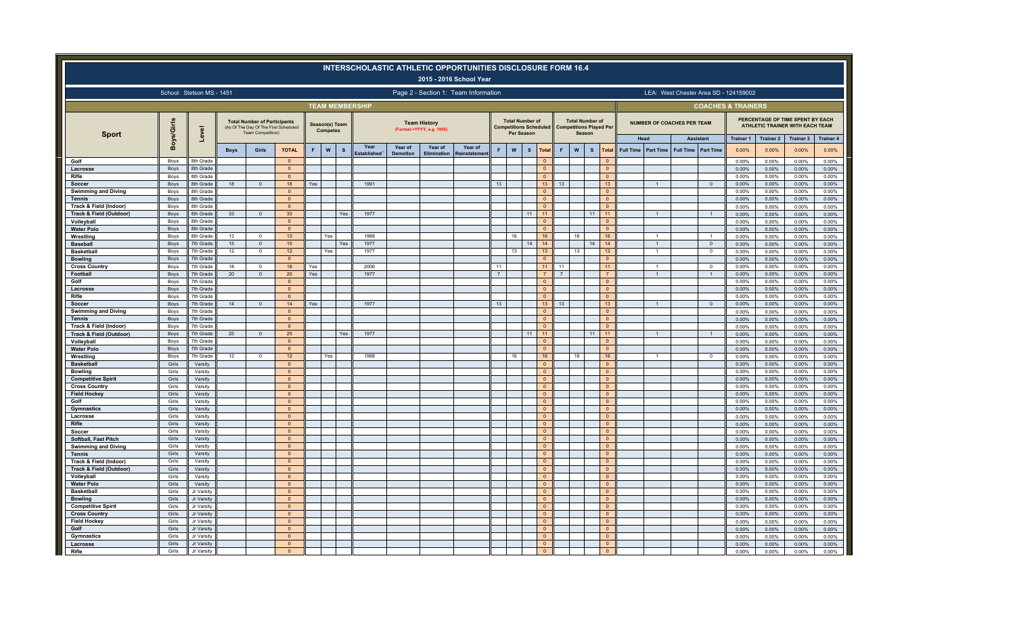|                                             |                           |                        |             |                                                                                                   |                                |     |                                   |          |                        |                 |                                                   | <b>INTERSCHOLASTIC ATHLETIC OPPORTUNITIES DISCLOSURE FORM 16.4</b><br>2015 - 2016 School Year |                |                                                                       |              |                                |                |                                  |                                |                               |                                   |                                      |                                       |                           |                                                                     |                           |
|---------------------------------------------|---------------------------|------------------------|-------------|---------------------------------------------------------------------------------------------------|--------------------------------|-----|-----------------------------------|----------|------------------------|-----------------|---------------------------------------------------|-----------------------------------------------------------------------------------------------|----------------|-----------------------------------------------------------------------|--------------|--------------------------------|----------------|----------------------------------|--------------------------------|-------------------------------|-----------------------------------|--------------------------------------|---------------------------------------|---------------------------|---------------------------------------------------------------------|---------------------------|
|                                             | School: Stetson MS - 1451 |                        |             |                                                                                                   |                                |     |                                   |          |                        |                 |                                                   | Page 2 - Section 1: Team Information                                                          |                |                                                                       |              |                                |                |                                  |                                |                               |                                   |                                      | LEA: West Chester Area SD - 124159002 |                           |                                                                     |                           |
|                                             |                           |                        |             |                                                                                                   |                                |     |                                   |          | <b>TEAM MEMBERSHIP</b> |                 |                                                   |                                                                                               |                |                                                                       |              |                                |                |                                  |                                |                               |                                   |                                      | <b>COACHES &amp; TRAINERS</b>         |                           |                                                                     |                           |
| <b>Sport</b>                                | Boys/Girls                | $\overline{a}$<br>eV   |             | <b>Total Number of Participants</b><br>(As Of The Day Of The First Scheduled<br>Team Competition) |                                |     | Season(s) Team<br><b>Competes</b> |          |                        |                 | <b>Team History</b><br>(Format = YYYY, e.g. 1955) |                                                                                               |                | <b>Total Number of</b><br><b>Competitions Scheduled</b><br>Per Season |              |                                |                | <b>Total Number of</b><br>Season | <b>Competitions Played Per</b> |                               | <b>NUMBER OF COACHES PER TEAM</b> |                                      |                                       |                           | PERCENTAGE OF TIME SPENT BY EACH<br>ATHLETIC TRAINER WITH EACH TEAM |                           |
|                                             |                           |                        | <b>Boys</b> | Girls                                                                                             | <b>TOTAL</b>                   | F   | $\pmb{\mathsf{W}}$                | <b>s</b> | Year                   | Year of         | Year of                                           | Year of                                                                                       | F              | $\boldsymbol{\mathsf{W}}$                                             | $\mathbf{s}$ | Total                          | F              | ${\bf W}$                        | $\mathbf{s}$<br>Total          | Head<br>Full Time   Part Time | <b>Full Time</b>                  | <b>Assistant</b><br><b>Part Time</b> | <b>Trainer 1</b><br>0.00%             | <b>Trainer 2</b><br>0.00% | Trainer 3<br>0.00%                                                  | <b>Trainer 4</b><br>0.00% |
| Golf                                        | Boys                      | 8th Grade              |             |                                                                                                   | $\overline{0}$                 |     |                                   |          | stablished             | <b>Demotion</b> | <b>Elimination</b>                                | Reinstatemen                                                                                  |                |                                                                       |              | $\Omega$                       |                |                                  | $\Omega$                       |                               |                                   |                                      | 0.00%                                 | 0.00%                     | 0.00%                                                               | 0.00%                     |
| Lacrosse                                    | Boys                      | 8th Grade              |             |                                                                                                   | $\mathbf{0}$                   |     |                                   |          |                        |                 |                                                   |                                                                                               |                |                                                                       |              | $\Omega$                       |                |                                  | $\mathbf{0}$                   |                               |                                   |                                      | 0.00%                                 | 0.00%                     | 0.00%                                                               | 0.00%                     |
| Rifle                                       | Boys                      | 8th Grade              |             |                                                                                                   | $\Omega$                       |     |                                   |          |                        |                 |                                                   |                                                                                               |                |                                                                       |              | $\overline{0}$                 |                |                                  | $\overline{0}$                 |                               |                                   |                                      | 0.00%                                 | 0.00%                     | 0.00%                                                               | 0.00%                     |
| Soccer                                      | Boys                      | 8th Grade              | 18          | $\Omega$                                                                                          | 18                             | Yes |                                   |          | 1991                   |                 |                                                   |                                                                                               | 13             |                                                                       |              | 13 <sup>°</sup>                | 13             |                                  | 13                             |                               |                                   | $\Omega$                             | 0.00%                                 | 0.00%                     | 0.00%                                                               | 0.00%                     |
| <b>Swimming and Diving</b>                  | Boys                      | 8th Grade              |             |                                                                                                   | $\overline{0}$                 |     |                                   |          |                        |                 |                                                   |                                                                                               |                |                                                                       |              | $\circ$                        |                |                                  | $\overline{0}$                 |                               |                                   |                                      | 0.00%                                 | 0.00%                     | 0.00%                                                               | 0.00%                     |
| <b>Tennis</b>                               | Boys                      | 8th Grade              |             |                                                                                                   | $\mathbf{0}$                   |     |                                   |          |                        |                 |                                                   |                                                                                               |                |                                                                       |              | $\mathbf{0}$                   |                |                                  | $\mathbf{0}$                   |                               |                                   |                                      | 0.00%                                 | 0.00%                     | 0.00%                                                               | 0.00%                     |
| Track & Field (Indoor)                      | Boys                      | 8th Grade              |             |                                                                                                   | $\Omega$                       |     |                                   |          |                        |                 |                                                   |                                                                                               |                |                                                                       |              | $\overline{0}$                 |                |                                  | $\Omega$                       |                               |                                   |                                      | 0.00%                                 | 0.00%                     | 0.00%                                                               | 0.00%                     |
| Track & Field (Outdoor<br>Volleyball        | Boys<br>Boys              | 8th Grade<br>8th Grade | 33          | $\circ$                                                                                           | 33<br>$\overline{0}$           |     |                                   | Yes      | 1977                   |                 |                                                   |                                                                                               |                |                                                                       | 11           | 11<br>$\Omega$                 |                |                                  | 11<br>11<br>$\overline{0}$     | $\overline{1}$                |                                   |                                      | 0.00%<br>0.00%                        | 0.00%<br>0.00%            | 0.00%<br>0.00%                                                      | 0.00%<br>0.00%            |
| <b>Water Polo</b>                           | Boys                      | 8th Grade              |             |                                                                                                   | $\mathbf{0}$                   |     |                                   |          |                        |                 |                                                   |                                                                                               |                |                                                                       |              | $\mathbf{0}$                   |                |                                  | $\mathbf{0}$                   |                               |                                   |                                      | 0.00%                                 | 0.00%                     | 0.00%                                                               | 0.00%                     |
| Wrestling                                   | Boys                      | 8th Grade              | 13          | $\Omega$                                                                                          | 13 <sup>°</sup>                |     | Yes                               |          | 1988                   |                 |                                                   |                                                                                               |                | 16                                                                    |              | 16                             |                | 16                               | 16                             |                               |                                   |                                      | 0.00%                                 | 0.00%                     | 0.00%                                                               | 0.00%                     |
| <b>Baseball</b>                             | Boys                      | 7th Grade              | 15          | $\overline{0}$                                                                                    | 15 <sub>15</sub>               |     |                                   | Yes      | 1977                   |                 |                                                   |                                                                                               |                |                                                                       | 14           | 14                             |                |                                  | 14<br>14                       | $\overline{1}$                |                                   | $\circ$                              | 0.00%                                 | 0.00%                     | 0.00%                                                               | $0.00\%$                  |
| <b>Basketbal</b>                            | Boys                      | 7th Grade              | 12          | $\Omega$                                                                                          | 12 <sup>2</sup>                |     | Yes                               |          | 1977                   |                 |                                                   |                                                                                               |                | 13                                                                    |              | 13                             |                | 13                               | 13                             |                               |                                   | $\Omega$                             | 0.00%                                 | 0.00%                     | 0.00%                                                               | 0.00%                     |
| <b>Bowling</b>                              | Boys                      | 7th Grade              |             |                                                                                                   | $\mathbf{0}$                   |     |                                   |          |                        |                 |                                                   |                                                                                               |                |                                                                       |              | $\Omega$                       |                |                                  | $\mathbf{0}$                   |                               |                                   |                                      | 0.00%                                 | 0.00%                     | 0.00%                                                               | 0.00%                     |
| <b>Cross Country</b>                        | Boys                      | 7th Grade              | 18          | $\Omega$                                                                                          | 18                             | Yes |                                   |          | 2006                   |                 |                                                   |                                                                                               | 11             |                                                                       |              | 11                             | 11             |                                  | 11                             |                               |                                   | $\Omega$                             | 0.00%                                 | 0.00%                     | 0.00%                                                               | 0.00%                     |
| Football                                    | <b>Boys</b>               | 7th Grade              | 20          | $\mathbf{0}$                                                                                      | 20                             | Yes |                                   |          | 1977                   |                 |                                                   |                                                                                               | $\overline{7}$ |                                                                       |              | 7 <sup>7</sup>                 | $\overline{7}$ |                                  | 7                              | $\mathbf{1}$                  |                                   | $\overline{1}$                       | 0.00%                                 | 0.00%                     | 0.00%                                                               | 0.00%                     |
| Golf                                        | Boys                      | 7th Grade              |             |                                                                                                   | $\overline{0}$                 |     |                                   |          |                        |                 |                                                   |                                                                                               |                |                                                                       |              | $\mathbf{0}$                   |                |                                  | $\overline{0}$                 |                               |                                   |                                      | 0.00%                                 | 0.00%                     | 0.00%                                                               | 0.00%                     |
| Lacrosse<br>Rifle                           | Boys                      | 7th Grade<br>7th Grade |             |                                                                                                   | $\overline{0}$<br>$\mathbf{0}$ |     |                                   |          |                        |                 |                                                   |                                                                                               |                |                                                                       |              | $\mathbf{0}$<br>$\mathbf{0}$   |                |                                  | $\overline{0}$<br>$\mathbf{0}$ |                               |                                   |                                      | 0.00%                                 | 0.00%                     | 0.00%                                                               | 0.00%                     |
| Soccer                                      | Boys<br>Boys              | 7th Grade              | 14          | $\Omega$                                                                                          | 14                             | Yes |                                   |          | 1977                   |                 |                                                   |                                                                                               | 13             |                                                                       |              | 13 <sup>°</sup>                | 13             |                                  | 13                             |                               |                                   | $\Omega$                             | 0.00%<br>0.00%                        | 0.00%<br>0.00%            | 0.00%<br>0.00%                                                      | 0.00%<br>0.00%            |
| <b>Swimming and Diving</b>                  | Boys                      | 7th Grade              |             |                                                                                                   | $\overline{0}$                 |     |                                   |          |                        |                 |                                                   |                                                                                               |                |                                                                       |              | $\overline{0}$                 |                |                                  | $\overline{0}$                 |                               |                                   |                                      | 0.00%                                 | 0.00%                     | 0.00%                                                               | $0.00\%$                  |
| <b>Tennis</b>                               | Boys                      | 7th Grade              |             |                                                                                                   | $\mathbf{0}$                   |     |                                   |          |                        |                 |                                                   |                                                                                               |                |                                                                       |              | $\Omega$                       |                |                                  | $\mathbf{0}$                   |                               |                                   |                                      | 0.00%                                 | 0.00%                     | 0.00%                                                               | 0.00%                     |
| Track & Field (Indoor)                      | Boys                      | 7th Grade              |             |                                                                                                   | $\mathbf{0}$                   |     |                                   |          |                        |                 |                                                   |                                                                                               |                |                                                                       |              | $\mathbf{0}$                   |                |                                  | $\mathbf{0}$                   |                               |                                   |                                      | 0.00%                                 | 0.00%                     | 0.00%                                                               | 0.00%                     |
| Track & Field (Outdoor)                     | <b>Boys</b>               | 7th Grade              | 25          | $\mathbf{0}$                                                                                      | 25                             |     |                                   | Yes      | 1977                   |                 |                                                   |                                                                                               |                |                                                                       | 11           | 11                             |                |                                  | 11<br>11                       |                               |                                   |                                      | 0.00%                                 | 0.00%                     | 0.00%                                                               | 0.00%                     |
| Volleyball                                  | Boys                      | 7th Grade              |             |                                                                                                   | $\mathbf{0}$                   |     |                                   |          |                        |                 |                                                   |                                                                                               |                |                                                                       |              | $\Omega$                       |                |                                  | $\circ$                        |                               |                                   |                                      | 0.00%                                 | 0.00%                     | 0.00%                                                               | 0.00%                     |
| <b>Water Polo</b>                           | <b>Boys</b>               | 7th Grade              |             |                                                                                                   | $\overline{0}$                 |     |                                   |          |                        |                 |                                                   |                                                                                               |                |                                                                       |              | $\Omega$                       |                |                                  | $\mathbf{0}$                   |                               |                                   |                                      | 0.00%                                 | 0.00%                     | 0.00%                                                               | 0.00%                     |
| Wrestling                                   | Boys                      | 7th Grade              | 12          | $\Omega$                                                                                          | 12 <sup>°</sup>                |     | Yes                               |          | 1988                   |                 |                                                   |                                                                                               |                | 16                                                                    |              | 16                             |                | 16                               | 16                             |                               |                                   | $\mathbf 0$                          | 0.00%                                 | 0.00%                     | 0.00%                                                               | 0.00%                     |
| <b>Basketball</b>                           | Girls                     | Varsity                |             |                                                                                                   | $\mathbf{0}$                   |     |                                   |          |                        |                 |                                                   |                                                                                               |                |                                                                       |              | $\overline{0}$                 |                |                                  | $\bullet$                      |                               |                                   |                                      | 0.00%                                 | 0.00%                     | 0.00%                                                               | 0.00%                     |
| <b>Bowling</b>                              | Girls                     | Varsity                |             |                                                                                                   | $\overline{0}$                 |     |                                   |          |                        |                 |                                                   |                                                                                               |                |                                                                       |              | $\circ$                        |                |                                  | $\overline{0}$                 |                               |                                   |                                      | 0.00%                                 | 0.00%                     | 0.00%                                                               | 0.00%                     |
| <b>Competitive Spirit</b>                   | Girls                     | Varsity                |             |                                                                                                   | $\overline{0}$                 |     |                                   |          |                        |                 |                                                   |                                                                                               |                |                                                                       |              | $\Omega$<br>$\mathbf{0}$       |                |                                  | $\mathbf{0}$                   |                               |                                   |                                      | 0.00%                                 | 0.00%                     | 0.00%                                                               | 0.00%                     |
| <b>Cross Country</b><br><b>Field Hockey</b> | Girls<br>Girls            | Varsity<br>Varsity     |             |                                                                                                   | $\mathbf 0$<br>$\overline{0}$  |     |                                   |          |                        |                 |                                                   |                                                                                               |                |                                                                       |              | $\overline{0}$                 |                |                                  | $\mathbf{0}$<br>$\overline{0}$ |                               |                                   |                                      | 0.00%<br>0.00%                        | 0.00%<br>0.00%            | 0.00%<br>0.00%                                                      | 0.00%<br>0.00%            |
| Golf                                        | Girls                     | Varsity                |             |                                                                                                   | $\overline{0}$                 |     |                                   |          |                        |                 |                                                   |                                                                                               |                |                                                                       |              | $\overline{0}$                 |                |                                  | $\overline{0}$                 |                               |                                   |                                      | 0.00%                                 | 0.00%                     | 0.00%                                                               | 0.00%                     |
| <b>Gymnastics</b>                           | Girls                     | Varsity                |             |                                                                                                   | $\overline{0}$                 |     |                                   |          |                        |                 |                                                   |                                                                                               |                |                                                                       |              | $\Omega$                       |                |                                  | $\bullet$                      |                               |                                   |                                      | 0.00%                                 | 0.00%                     | 0.00%                                                               | 0.00%                     |
| Lacrosse                                    | Girls                     | Varsity                |             |                                                                                                   | $\mathbf{0}$                   |     |                                   |          |                        |                 |                                                   |                                                                                               |                |                                                                       |              | $\mathbf{0}$                   |                |                                  | $\mathbf{0}$                   |                               |                                   |                                      | 0.00%                                 | 0.00%                     | 0.00%                                                               | 0.00%                     |
| Rifle                                       | Girls                     | Varsity                |             |                                                                                                   | $\mathbf{0}$                   |     |                                   |          |                        |                 |                                                   |                                                                                               |                |                                                                       |              | $\overline{0}$                 |                |                                  | $\overline{0}$                 |                               |                                   |                                      | 0.00%                                 | 0.00%                     | 0.00%                                                               | 0.00%                     |
| Soccer                                      | Girls                     | Varsity                |             |                                                                                                   | $\overline{\mathbf{0}}$        |     |                                   |          |                        |                 |                                                   |                                                                                               |                |                                                                       |              | $\mathbf 0$                    |                |                                  | $\mathbf 0$                    |                               |                                   |                                      | 0.00%                                 | 0.00%                     | 0.00%                                                               | 0.00%                     |
| Softball, Fast Pitch                        | Girls                     | Varsity                |             |                                                                                                   | $\overline{0}$                 |     |                                   |          |                        |                 |                                                   |                                                                                               |                |                                                                       |              | $\overline{0}$                 |                |                                  | $\overline{0}$                 |                               |                                   |                                      | 0.00%                                 | 0.00%                     | 0.00%                                                               | 0.00%                     |
| Swimming and Diving                         | Girls                     | Varsity                |             |                                                                                                   | $\mathbf{0}$                   |     |                                   |          |                        |                 |                                                   |                                                                                               |                |                                                                       |              | $\Omega$                       |                |                                  | $\mathbf{0}$                   |                               |                                   |                                      | 0.00%                                 | 0.00%                     | 0.00%                                                               | 0.00%                     |
| <b>Tennis</b>                               | Girls                     | Varsity                |             |                                                                                                   | $\mathbf{0}$                   |     |                                   |          |                        |                 |                                                   |                                                                                               |                |                                                                       |              | $\overline{0}$                 |                |                                  | $\overline{0}$                 |                               |                                   |                                      | 0.00%                                 | 0.00%                     | 0.00%                                                               | 0.00%                     |
| Track & Field (Indoor)                      | Girls                     | Varsity                |             |                                                                                                   | $\mathbf{0}$                   |     |                                   |          |                        |                 |                                                   |                                                                                               |                |                                                                       |              | $\overline{0}$                 |                |                                  | $\overline{0}$                 |                               |                                   |                                      | 0.00%                                 | 0.00%                     | 0.00%                                                               | 0.00%                     |
| Track & Field (Outdoor)                     | Girls                     | Varsity                |             |                                                                                                   | $\overline{0}$                 |     |                                   |          |                        |                 |                                                   |                                                                                               |                |                                                                       |              | $\overline{0}$                 |                |                                  | $\overline{0}$                 |                               |                                   |                                      | 0.00%                                 | 0.00%                     | 0.00%                                                               | 0.00%                     |
| Volleyball                                  | Girls<br>Girls            | Varsity<br>Varsity     |             |                                                                                                   | $\mathbf{0}$                   |     |                                   |          |                        |                 |                                                   |                                                                                               |                |                                                                       |              | $\mathbf{0}$<br>$\overline{0}$ |                |                                  | $\mathbf 0$<br>$\overline{0}$  |                               |                                   |                                      | 0.00%<br>0.00%                        | 0.00%<br>0.00%            | 0.00%<br>0.00%                                                      | 0.00%<br>0.00%            |
| <b>Water Polo</b><br><b>Basketball</b>      | Girls                     | Jr Varsity             |             |                                                                                                   | $\mathbf{0}$<br>$\overline{0}$ |     |                                   |          |                        |                 |                                                   |                                                                                               |                |                                                                       |              | $\mathbf{0}$                   |                |                                  | $\overline{0}$                 |                               |                                   |                                      | 0.00%                                 | 0.00%                     | 0.00%                                                               | 0.00%                     |
| <b>Bowling</b>                              | Girls                     | Jr Varsity             |             |                                                                                                   | $\overline{0}$                 |     |                                   |          |                        |                 |                                                   |                                                                                               |                |                                                                       |              | $\Omega$                       |                |                                  | $\mathbf{0}$                   |                               |                                   |                                      | 0.00%                                 | 0.00%                     | 0.00%                                                               | 0.00%                     |
| <b>Competitive Spirit</b>                   | Girls                     | Jr Varsity             |             |                                                                                                   | $\mathbf{0}$                   |     |                                   |          |                        |                 |                                                   |                                                                                               |                |                                                                       |              | $\Omega$                       |                |                                  | $\overline{0}$                 |                               |                                   |                                      | 0.00%                                 | 0.00%                     | 0.00%                                                               | 0.00%                     |
| <b>Cross Country</b>                        | Girls                     | Jr Varsity             |             |                                                                                                   | $\Omega$                       |     |                                   |          |                        |                 |                                                   |                                                                                               |                |                                                                       |              | $\Omega$                       |                |                                  | $\Omega$                       |                               |                                   |                                      | 0.00%                                 | 0.00%                     | 0.00%                                                               | 0.00%                     |
| <b>Field Hockey</b>                         | Girls                     | Jr Varsity             |             |                                                                                                   | $\overline{0}$                 |     |                                   |          |                        |                 |                                                   |                                                                                               |                |                                                                       |              | $\overline{0}$                 |                |                                  | $\overline{0}$                 |                               |                                   |                                      | 0.00%                                 | 0.00%                     | 0.00%                                                               | 0.00%                     |
| Golf                                        | Girls                     | Jr Varsity             |             |                                                                                                   | $\overline{0}$                 |     |                                   |          |                        |                 |                                                   |                                                                                               |                |                                                                       |              | $\Omega$                       |                |                                  | $\overline{0}$                 |                               |                                   |                                      | 0.00%                                 | 0.00%                     | 0.00%                                                               | 0.00%                     |
| Gymnastics                                  | Girls                     | Jr Varsity             |             |                                                                                                   | $\overline{0}$                 |     |                                   |          |                        |                 |                                                   |                                                                                               |                |                                                                       |              | $\Omega$                       |                |                                  | $\overline{0}$                 |                               |                                   |                                      | 0.00%                                 | 0.00%                     | 0.00%                                                               | 0.00%                     |
| Lacrosse                                    | Girls                     | Jr Varsity             |             |                                                                                                   | $\Omega$                       |     |                                   |          |                        |                 |                                                   |                                                                                               |                |                                                                       |              | $\Omega$                       |                |                                  | $\Omega$                       |                               |                                   |                                      | 0.00%                                 | 0.00%                     | 0.00%                                                               | 0.00%                     |
| Rifle                                       | Girls                     | Jr Varsity             |             |                                                                                                   | $\overline{0}$                 |     |                                   |          |                        |                 |                                                   |                                                                                               |                |                                                                       |              | $\Omega$                       |                |                                  | $\overline{0}$                 |                               |                                   |                                      | 0.00%                                 | 0.00%                     | 0.00%                                                               | 0.00%                     |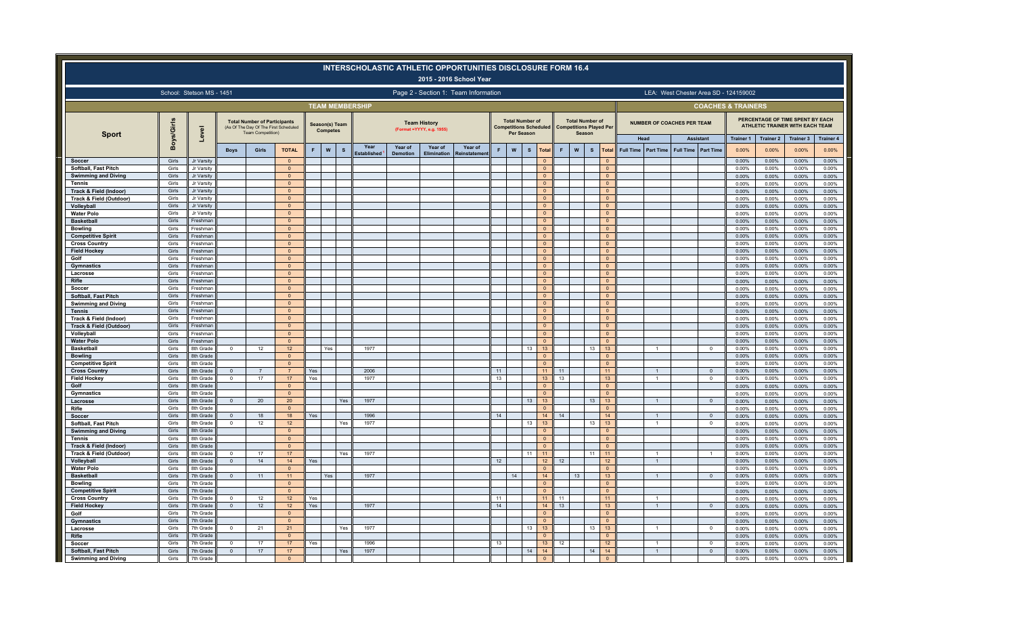|                                                   |                |                                      |                          |                                                                                                   |                                  |            |                                           | <b>INTERSCHOLASTIC ATHLETIC OPPORTUNITIES DISCLOSURE FORM 16.4</b> |                            |                                                   | 2015 - 2016 School Year              |          |                                                                       |              |                                |          |                                                                           |                                  |                          |                  |                                   |                               |                                       |                           |                                                                     |                           |
|---------------------------------------------------|----------------|--------------------------------------|--------------------------|---------------------------------------------------------------------------------------------------|----------------------------------|------------|-------------------------------------------|--------------------------------------------------------------------|----------------------------|---------------------------------------------------|--------------------------------------|----------|-----------------------------------------------------------------------|--------------|--------------------------------|----------|---------------------------------------------------------------------------|----------------------------------|--------------------------|------------------|-----------------------------------|-------------------------------|---------------------------------------|---------------------------|---------------------------------------------------------------------|---------------------------|
|                                                   |                | School: Stetson MS - 1451            |                          |                                                                                                   |                                  |            |                                           |                                                                    |                            |                                                   | Page 2 - Section 1: Team Information |          |                                                                       |              |                                |          |                                                                           |                                  |                          |                  |                                   |                               | LEA: West Chester Area SD - 124159002 |                           |                                                                     |                           |
|                                                   |                |                                      |                          |                                                                                                   |                                  |            |                                           | <b>TEAM MEMBERSHIP</b>                                             |                            |                                                   |                                      |          |                                                                       |              |                                |          |                                                                           |                                  |                          |                  |                                   |                               | <b>COACHES &amp; TRAINERS</b>         |                           |                                                                     |                           |
| <b>Sport</b>                                      | Boys/Girls     | ুত                                   |                          | <b>Total Number of Participants</b><br>(As Of The Day Of The First Scheduled<br>Team Competition) |                                  |            | Season(s) Team<br><b>Competes</b>         |                                                                    |                            | <b>Team History</b><br>(Format = YYYY, e.g. 1955) |                                      |          | <b>Total Number of</b><br><b>Competitions Scheduled</b><br>Per Season |              |                                |          | <b>Total Number of</b><br><b>Competitions Played Per</b><br><b>Season</b> |                                  |                          |                  | <b>NUMBER OF COACHES PER TEAM</b> |                               |                                       |                           | PERCENTAGE OF TIME SPENT BY EACH<br>ATHLETIC TRAINER WITH EACH TEAM |                           |
|                                                   |                | Lev                                  | <b>Boys</b>              | Girls                                                                                             | <b>TOTAL</b>                     | F          | $\boldsymbol{\mathsf{w}}$<br>$\mathbf{s}$ | Year<br>stablished                                                 | Year of<br><b>Demotion</b> | Year of<br><b>Elimination</b>                     | Year of<br>रेeinstateme              | F        | ${\bf W}$                                                             | $\mathbf{s}$ | Total                          | F        | $\mathbf{s}$<br>W                                                         | Tota                             | Head<br><b>Full Time</b> | <b>Part Time</b> | <b>Full Time</b>                  | <b>Assistant</b><br>Part Time | <b>Trainer 1</b><br>0.00%             | <b>Trainer 2</b><br>0.00% | Trainer 3<br>0.00%                                                  | <b>Trainer 4</b><br>0.00% |
| Soccer                                            | Girls          | Jr Varsity                           |                          |                                                                                                   | $\Omega$                         |            |                                           |                                                                    |                            |                                                   |                                      |          |                                                                       |              | $\Omega$                       |          |                                                                           |                                  |                          |                  |                                   |                               | 0.00%                                 | 0.00%                     | 0.00%                                                               | 0.00%                     |
| Softball, Fast Pitch                              | Girls          | Jr Varsity                           |                          |                                                                                                   | $\mathbf{0}$                     |            |                                           |                                                                    |                            |                                                   |                                      |          |                                                                       |              | $\overline{0}$                 |          |                                                                           | $\overline{0}$                   |                          |                  |                                   |                               | 0.00%                                 | 0.00%                     | 0.00%                                                               | 0.00%                     |
| <b>Swimming and Diving</b>                        | Girls          | Jr Varsity                           |                          |                                                                                                   | $\mathbf{0}$                     |            |                                           |                                                                    |                            |                                                   |                                      |          |                                                                       |              | $\mathbf{0}$                   |          |                                                                           | $\mathbf{0}$                     |                          |                  |                                   |                               | 0.00%                                 | 0.00%                     | 0.00%                                                               | 0.00%                     |
| Tennis<br><b>Track &amp; Field (Indoor)</b>       | Girls<br>Girls | Jr Varsity<br>Jr Varsity             |                          |                                                                                                   | $\Omega$<br>$\mathbf{0}$         |            |                                           |                                                                    |                            |                                                   |                                      |          |                                                                       |              | $\overline{0}$<br>$\mathbf{0}$ |          |                                                                           | $\overline{0}$<br>$\mathbf{0}$   |                          |                  |                                   |                               | 0.00%<br>0.00%                        | 0.00%<br>0.00%            | 0.00%<br>0.00%                                                      | 0.00%<br>0.00%            |
| Track & Field (Outdoor)                           | Girls          | Jr Varsity                           |                          |                                                                                                   | $\Omega$                         |            |                                           |                                                                    |                            |                                                   |                                      |          |                                                                       |              | $\overline{0}$                 |          |                                                                           | $\overline{0}$                   |                          |                  |                                   |                               | 0.00%                                 | 0.00%                     | 0.00%                                                               | 0.00%                     |
| Volleyball                                        | Girls          | Jr Varsity                           |                          |                                                                                                   | $\Omega$                         |            |                                           |                                                                    |                            |                                                   |                                      |          |                                                                       |              | $\Omega$                       |          |                                                                           | $\mathbf{0}$                     |                          |                  |                                   |                               | 0.00%                                 | 0.00%                     | 0.00%                                                               | 0.00%                     |
| <b>Water Polo</b>                                 | Girls          | Jr Varsity                           |                          |                                                                                                   | $\mathbf{0}$                     |            |                                           |                                                                    |                            |                                                   |                                      |          |                                                                       |              | $\mathbf{0}$                   |          |                                                                           | $\circ$                          |                          |                  |                                   |                               | 0.00%                                 | 0.00%                     | 0.00%                                                               | $0.00\%$                  |
| <b>Basketball</b>                                 | Girls          | Freshmar                             |                          |                                                                                                   | $\pmb{0}$                        |            |                                           |                                                                    |                            |                                                   |                                      |          |                                                                       |              | $\mathbf{0}$                   |          |                                                                           | $\mathbf 0$                      |                          |                  |                                   |                               | 0.00%                                 | 0.00%                     | 0.00%                                                               | $0.00\%$                  |
| <b>Bowling</b>                                    | Girls          | Freshman                             |                          |                                                                                                   | $\mathbf{0}$                     |            |                                           |                                                                    |                            |                                                   |                                      |          |                                                                       |              | $\mathbf{0}$                   |          |                                                                           | $\mathbf{0}$                     |                          |                  |                                   |                               | 0.00%                                 | 0.00%                     | 0.00%                                                               | 0.00%                     |
| <b>Competitive Spirit</b><br><b>Cross Country</b> | Girls<br>Girls | Freshman<br>Freshman                 |                          |                                                                                                   | $\mathbf{0}$<br>$\mathbf{0}$     |            |                                           |                                                                    |                            |                                                   |                                      |          |                                                                       |              | $\overline{0}$<br>$\circ$      |          |                                                                           | $\overline{0}$<br>$\overline{0}$ |                          |                  |                                   |                               | 0.00%<br>0.00%                        | 0.00%<br>0.00%            | 0.00%<br>0.00%                                                      | 0.00%<br>0.00%            |
| <b>Field Hockey</b>                               | Girls          | Freshman                             |                          |                                                                                                   | $\overline{0}$                   |            |                                           |                                                                    |                            |                                                   |                                      |          |                                                                       |              | $\overline{0}$                 |          |                                                                           | $\bullet$                        |                          |                  |                                   |                               | 0.00%                                 | 0.00%                     | 0.00%                                                               | 0.00%                     |
| Golf                                              | Girls          | Freshman                             |                          |                                                                                                   | $\overline{0}$                   |            |                                           |                                                                    |                            |                                                   |                                      |          |                                                                       |              | $\Omega$                       |          |                                                                           | $\overline{0}$                   |                          |                  |                                   |                               | 0.00%                                 | 0.00%                     | 0.00%                                                               | 0.00%                     |
| Gymnastics                                        | Girls          | Freshman                             |                          |                                                                                                   | $\Omega$                         |            |                                           |                                                                    |                            |                                                   |                                      |          |                                                                       |              | $\Omega$                       |          |                                                                           | $\overline{0}$                   |                          |                  |                                   |                               | 0.00%                                 | 0.00%                     | 0.00%                                                               | 0.00%                     |
| Lacrosse                                          | Girls          | Freshmar                             |                          |                                                                                                   | $\mathbf{0}$                     |            |                                           |                                                                    |                            |                                                   |                                      |          |                                                                       |              | $\mathbf{0}$                   |          |                                                                           | $\overline{0}$                   |                          |                  |                                   |                               | 0.00%                                 | 0.00%                     | 0.00%                                                               | 0.00%                     |
| Rifle                                             | Girls          | Freshmar                             |                          |                                                                                                   | $\Omega$                         |            |                                           |                                                                    |                            |                                                   |                                      |          |                                                                       |              | $\overline{0}$                 |          |                                                                           | $\overline{0}$                   |                          |                  |                                   |                               | 0.00%                                 | 0.00%                     | 0.00%                                                               | 0.00%                     |
| Soccer                                            | Girls          | Freshmar                             |                          |                                                                                                   | $\Omega$                         |            |                                           |                                                                    |                            |                                                   |                                      |          |                                                                       |              | $\Omega$                       |          |                                                                           | $\mathbf{0}$                     |                          |                  |                                   |                               | 0.00%                                 | 0.00%                     | 0.00%                                                               | 0.00%                     |
| Softball, Fast Pitch                              | Girls          | Freshman                             |                          |                                                                                                   | $\mathbf{0}$                     |            |                                           |                                                                    |                            |                                                   |                                      |          |                                                                       |              | $\mathbf{0}$                   |          |                                                                           | $\mathbf{0}$                     |                          |                  |                                   |                               | 0.00%                                 | 0.00%                     | 0.00%                                                               | 0.00%                     |
| <b>Swimming and Diving</b>                        | Girls<br>Girls | Freshman<br>Freshman                 |                          |                                                                                                   | $\mathbf{0}$                     |            |                                           |                                                                    |                            |                                                   |                                      |          |                                                                       |              | $\circ$<br>$\overline{0}$      |          |                                                                           | $\overline{0}$<br>$\overline{0}$ |                          |                  |                                   |                               | 0.00%<br>0.00%                        | 0.00%<br>0.00%            | 0.00%<br>0.00%                                                      | 0.00%<br>0.00%            |
| <b>Tennis</b><br>Track & Field (Indoor)           | Girls          | Freshman                             |                          |                                                                                                   | $\overline{0}$<br>$\overline{0}$ |            |                                           |                                                                    |                            |                                                   |                                      |          |                                                                       |              | $\overline{0}$                 |          |                                                                           | $\overline{0}$                   |                          |                  |                                   |                               | 0.00%                                 | 0.00%                     | 0.00%                                                               | 0.00%                     |
| Track & Field (Outdoor)                           | Girls          | Freshman                             |                          |                                                                                                   | $\mathbf{0}$                     |            |                                           |                                                                    |                            |                                                   |                                      |          |                                                                       |              | $\Omega$                       |          |                                                                           | $\overline{0}$                   |                          |                  |                                   |                               | 0.00%                                 | 0.00%                     | 0.00%                                                               | 0.00%                     |
| Volleyball                                        | Girls          | Freshman                             |                          |                                                                                                   | $\Omega$                         |            |                                           |                                                                    |                            |                                                   |                                      |          |                                                                       |              | $\Omega$                       |          |                                                                           | $\overline{0}$                   |                          |                  |                                   |                               | 0.00%                                 | 0.00%                     | 0.00%                                                               | 0.00%                     |
| <b>Water Polo</b>                                 | Girls          | Freshman                             |                          |                                                                                                   | $\mathbf{0}$                     |            |                                           |                                                                    |                            |                                                   |                                      |          |                                                                       |              | $\mathbf{0}$                   |          |                                                                           | $\bullet$                        |                          |                  |                                   |                               | 0.00%                                 | 0.00%                     | 0.00%                                                               | $0.00\%$                  |
| <b>Basketball</b>                                 | Girls          | <b>8th Grade</b>                     | $\mathbf 0$              | 12                                                                                                | 12 <sup>°</sup>                  |            | Yes                                       | 1977                                                               |                            |                                                   |                                      |          |                                                                       | 13           | 13                             |          | 13                                                                        | 13                               |                          |                  |                                   | $\mathbf 0$                   | 0.00%                                 | 0.00%                     | 0.00%                                                               | 0.00%                     |
| <b>Bowling</b>                                    | Girls          | <b>Bth Grade</b>                     |                          |                                                                                                   | $\mathbf{0}$                     |            |                                           |                                                                    |                            |                                                   |                                      |          |                                                                       |              | $\Omega$                       |          |                                                                           | $\mathbf{0}$                     |                          |                  |                                   |                               | 0.00%                                 | 0.00%                     | 0.00%                                                               | 0.00%                     |
| <b>Competitive Spirit</b>                         | Girls          | <b>8th Grade</b><br><b>Bth Grade</b> |                          |                                                                                                   | $\mathbf{0}$                     |            |                                           | 2006                                                               |                            |                                                   |                                      |          |                                                                       |              | $\mathbf{0}$<br>11             | 11       |                                                                           | $\mathbf 0$                      |                          |                  |                                   |                               | 0.00%                                 | 0.00%                     | 0.00%                                                               | 0.00%                     |
| <b>Cross Country</b><br><b>Field Hockey</b>       | Girls<br>Girls | <b>8th Grade</b>                     | $\Omega$<br>$\mathbf{0}$ | $\overline{7}$<br>17                                                                              | $\overline{7}$<br>17             | Yes<br>Yes |                                           | 1977                                                               |                            |                                                   |                                      | 11<br>13 |                                                                       |              | 13                             | 13       |                                                                           | 11<br>13                         |                          |                  |                                   | $\Omega$<br>$\mathbf 0$       | 0.00%<br>0.00%                        | 0.00%<br>0.00%            | 0.00%<br>0.00%                                                      | 0.00%<br>0.00%            |
| Golf                                              | Girls          | <b>Bth Grade</b>                     |                          |                                                                                                   | $\overline{0}$                   |            |                                           |                                                                    |                            |                                                   |                                      |          |                                                                       |              | $\overline{0}$                 |          |                                                                           | $\overline{0}$                   |                          |                  |                                   |                               | 0.00%                                 | 0.00%                     | 0.00%                                                               | 0.00%                     |
| Gymnastics                                        | Girls          | <b>8th Grade</b>                     |                          |                                                                                                   | $\overline{0}$                   |            |                                           |                                                                    |                            |                                                   |                                      |          |                                                                       |              | $\mathbf{0}$                   |          |                                                                           | $\overline{0}$                   |                          |                  |                                   |                               | 0.00%                                 | 0.00%                     | 0.00%                                                               | 0.00%                     |
| Lacrosse                                          | Girls          | <b>Bth Grade</b>                     | $\mathbf{0}$             | 20                                                                                                | 20                               |            |                                           | 1977<br>Yes                                                        |                            |                                                   |                                      |          |                                                                       | 13           | 13                             |          | 13                                                                        | 13                               |                          |                  |                                   | $\overline{0}$                | 0.00%                                 | 0.00%                     | 0.00%                                                               | 0.00%                     |
| Rifle                                             | Girls          | 8th Grade                            |                          |                                                                                                   | $\Omega$                         |            |                                           |                                                                    |                            |                                                   |                                      |          |                                                                       |              | $\Omega$                       |          |                                                                           | $\overline{0}$                   |                          |                  |                                   |                               | 0.00%                                 | 0.00%                     | 0.00%                                                               | 0.00%                     |
| Soccer                                            | Girls          | <b>Bth Grade</b>                     | $\mathbf{0}$             | 18                                                                                                | 18                               | Yes        |                                           | 1996                                                               |                            |                                                   |                                      | 14       |                                                                       |              | 14                             | 14       |                                                                           | 14                               |                          |                  |                                   | $\overline{0}$                | 0.00%                                 | 0.00%                     | 0.00%                                                               | 0.00%                     |
| Softball, Fast Pitch                              | Girls          | 8th Grade                            | $\Omega$                 | 12                                                                                                | 12                               |            |                                           | 1977<br>Yes                                                        |                            |                                                   |                                      |          |                                                                       | 13           | 13                             |          | 13                                                                        | 13                               |                          |                  |                                   | $\Omega$                      | 0.00%                                 | 0.00%                     | 0.00%                                                               | 0.00%                     |
| <b>Swimming and Diving</b><br><b>Tennis</b>       | Girls<br>Girls | <b>8th Grade</b><br><b>Bth Grade</b> |                          |                                                                                                   | $\mathbf{0}$<br>$\Omega$         |            |                                           |                                                                    |                            |                                                   |                                      |          |                                                                       |              | $\mathbf{0}$<br>$\Omega$       |          |                                                                           | $\overline{0}$<br>$\mathbf{0}$   |                          |                  |                                   |                               | 0.00%                                 | 0.00%                     | 0.00%                                                               | 0.00%                     |
| Track & Field (Indoor)                            | Girls          | <b>8th Grade</b>                     |                          |                                                                                                   | $\mathbf{0}$                     |            |                                           |                                                                    |                            |                                                   |                                      |          |                                                                       |              | $\mathbf{0}$                   |          |                                                                           | $\overline{0}$                   |                          |                  |                                   |                               | 0.00%<br>0.00%                        | 0.00%<br>0.00%            | 0.00%<br>0.00%                                                      | 0.00%<br>0.00%            |
| Track & Field (Outdoor)                           | Girls          | <b>8th Grade</b>                     | $\Omega$                 | 17                                                                                                | 17                               |            | Yes                                       | 1977                                                               |                            |                                                   |                                      |          |                                                                       | 11           | 11                             |          | 11                                                                        | 11                               |                          |                  |                                   |                               | 0.00%                                 | 0.00%                     | 0.00%                                                               | 0.00%                     |
| Volleyball                                        | Girls          | 8th Grade                            | $\Omega$                 | 14                                                                                                | 14                               | Yes        |                                           |                                                                    |                            |                                                   |                                      | 12       |                                                                       |              | 12                             | 12       |                                                                           | 12                               |                          | $\overline{1}$   |                                   |                               | 0.00%                                 | 0.00%                     | 0.00%                                                               | 0.00%                     |
| <b>Water Polo</b>                                 | Girls          | <b>8th Grade</b>                     |                          |                                                                                                   | $\mathbf{0}$                     |            |                                           |                                                                    |                            |                                                   |                                      |          |                                                                       |              | $\mathbf{0}$                   |          |                                                                           | $\mathbf{0}$                     |                          |                  |                                   |                               | 0.00%                                 | 0.00%                     | 0.00%                                                               | 0.00%                     |
| <b>Basketball</b>                                 | Girls          | 7th Grade                            | $\Omega$                 | 11                                                                                                | 11                               |            | Yes                                       | 1977                                                               |                            |                                                   |                                      |          | 14                                                                    |              | 14                             |          | 13                                                                        | 13                               |                          | $\overline{1}$   |                                   | $\overline{0}$                | 0.00%                                 | 0.00%                     | 0.00%                                                               | 0.00%                     |
| <b>Bowling</b>                                    | Girls          | 7th Grade                            |                          |                                                                                                   | $\mathbf{0}$                     |            |                                           |                                                                    |                            |                                                   |                                      |          |                                                                       |              | $\mathbf{0}$                   |          |                                                                           | $\overline{0}$                   |                          |                  |                                   |                               | 0.00%                                 | 0.00%                     | 0.00%                                                               | 0.00%                     |
| <b>Competitive Spirit</b>                         | Girls          | 7th Grade                            |                          |                                                                                                   | $\Omega$                         |            |                                           |                                                                    |                            |                                                   |                                      |          |                                                                       |              | $\Omega$                       |          |                                                                           | $\mathbf{0}$                     |                          |                  |                                   |                               | 0.00%                                 | 0.00%                     | 0.00%                                                               | 0.00%                     |
| Cross Country<br><b>Field Hockey</b>              | Girls<br>Girls | 7th Grade<br>7th Grade               | $\circ$<br>$\mathbf{0}$  | 12<br>12                                                                                          | 12<br>12                         | Yes<br>Yes |                                           | 1977                                                               |                            |                                                   |                                      | 11<br>14 |                                                                       |              | 11<br>14                       | 11<br>13 |                                                                           | 11<br>13                         |                          |                  |                                   | $\circ$                       | 0.00%<br>0.00%                        | 0.00%<br>0.00%            | 0.00%<br>0.00%                                                      | 0.00%<br>0.00%            |
| Golf                                              | Girls          | 7th Grade                            |                          |                                                                                                   | $\mathbf{0}$                     |            |                                           |                                                                    |                            |                                                   |                                      |          |                                                                       |              | $\overline{0}$                 |          |                                                                           | $\overline{0}$                   |                          |                  |                                   |                               | 0.00%                                 | 0.00%                     | 0.00%                                                               | 0.00%                     |
| Gymnastics                                        | Girls          | 7th Grade                            |                          |                                                                                                   | $\Omega$                         |            |                                           |                                                                    |                            |                                                   |                                      |          |                                                                       |              | $\Omega$                       |          |                                                                           | $\overline{0}$                   |                          |                  |                                   |                               | 0.00%                                 | 0.00%                     | 0.00%                                                               | 0.00%                     |
| Lacrosse                                          | Girls          | 7th Grade                            | $\Omega$                 | 21                                                                                                | 21                               |            |                                           | Yes<br>1977                                                        |                            |                                                   |                                      |          |                                                                       | 13           | 13                             |          | 13                                                                        | 13                               |                          |                  |                                   | $\Omega$                      | 0.00%                                 | 0.00%                     | 0.00%                                                               | 0.00%                     |
| Rifle                                             | Girls          | 7th Grade                            |                          |                                                                                                   | $\Omega$                         |            |                                           |                                                                    |                            |                                                   |                                      |          |                                                                       |              | $\Omega$                       |          |                                                                           | $\Omega$                         |                          |                  |                                   |                               | 0.00%                                 | 0.00%                     | 0.00%                                                               | 0.00%                     |
| Soccer                                            | Girls          | 7th Grade                            | $\Omega$                 | 17                                                                                                | 17                               | Yes        |                                           | 1996                                                               |                            |                                                   |                                      | 13       |                                                                       |              | 13                             | 12       |                                                                           | 12                               |                          |                  |                                   | $\Omega$                      | 0.00%                                 | 0.00%                     | 0.00%                                                               | 0.00%                     |
| Softball, Fast Pitch                              | Girls          | 7th Grade                            | $\overline{0}$           | 17                                                                                                | 17 <sup>2</sup>                  |            |                                           | 1977<br>Yes                                                        |                            |                                                   |                                      |          |                                                                       | 14           | 14                             |          | 14                                                                        | 14                               |                          | $\overline{1}$   |                                   | $\overline{0}$                | 0.00%                                 | 0.00%                     | 0.00%                                                               | 0.00%                     |
| <b>Swimming and Diving</b>                        | Girls          | 7th Grade                            |                          |                                                                                                   | $\Omega$                         |            |                                           |                                                                    |                            |                                                   |                                      |          |                                                                       |              | $\Omega$                       |          |                                                                           | $\overline{0}$                   |                          |                  |                                   |                               | 0.00%                                 | 0.00%                     | 0.00%                                                               | 0.00%                     |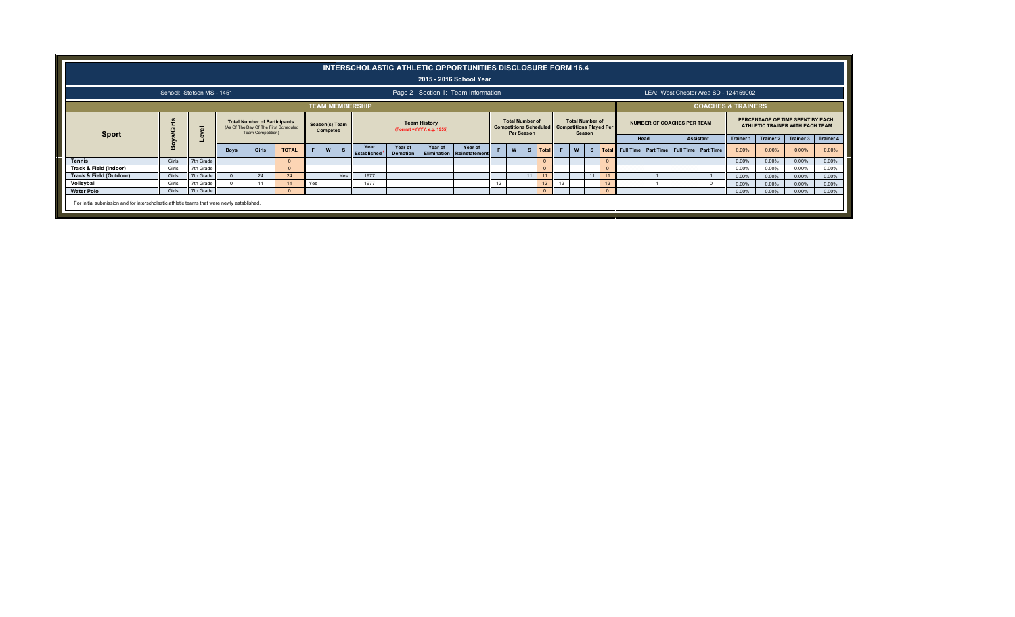|                                                                                            |              |                           |             |                                                                                                   |              |                |                 | INTERSCHOLASTIC ATHLETIC OPPORTUNITIES DISCLOSURE FORM 16.4 |                            |                                                   | 2015 - 2016 School Year              |    |                                             |    |              |    |                                                                                    |              |                                                     |                            |                                       |                    |                                                                     |                    |                           |
|--------------------------------------------------------------------------------------------|--------------|---------------------------|-------------|---------------------------------------------------------------------------------------------------|--------------|----------------|-----------------|-------------------------------------------------------------|----------------------------|---------------------------------------------------|--------------------------------------|----|---------------------------------------------|----|--------------|----|------------------------------------------------------------------------------------|--------------|-----------------------------------------------------|----------------------------|---------------------------------------|--------------------|---------------------------------------------------------------------|--------------------|---------------------------|
|                                                                                            |              | School: Stetson MS - 1451 |             |                                                                                                   |              |                |                 |                                                             |                            |                                                   | Page 2 - Section 1: Team Information |    |                                             |    |              |    |                                                                                    |              |                                                     |                            | LEA: West Chester Area SD - 124159002 |                    |                                                                     |                    |                           |
|                                                                                            |              |                           |             |                                                                                                   |              |                |                 | <b>TEAM MEMBERSHIP</b>                                      |                            |                                                   |                                      |    |                                             |    |              |    |                                                                                    |              |                                                     |                            | <b>COACHES &amp; TRAINERS</b>         |                    |                                                                     |                    |                           |
| <b>Sport</b>                                                                               | <b>Siris</b> | $\overline{\omega}$       |             | <b>Total Number of Participants</b><br>(As Of The Day Of The First Scheduled<br>Team Competition) |              | Season(s) Team | <b>Competes</b> |                                                             |                            | <b>Team History</b><br>(Format = YYYY, e.g. 1955) |                                      |    | <b>Total Number of</b><br><b>Per Season</b> |    |              |    | <b>Total Number of</b><br>Competitions Scheduled Competitions Played Per<br>Season |              |                                                     | NUMBER OF COACHES PER TEAM |                                       |                    | PERCENTAGE OF TIME SPENT BY EACH<br>ATHLETIC TRAINER WITH EACH TEAM |                    |                           |
|                                                                                            | 옮            |                           | <b>Boys</b> | Girls                                                                                             | <b>TOTAL</b> |                | W               | Year<br>Established <sup>1</sup>                            | Year of<br><b>Demotion</b> | Year of                                           | Year of<br>Elimination Reinstatement |    | W                                           | s  | <b>Total</b> |    | W                                                                                  | $\mathbf{s}$ | Total Full Time   Part Time   Full Time   Part Time | Head                       | <b>Assistant</b>                      | Trainer 1<br>0.00% | <b>Trainer 2</b><br>0.00%                                           | Trainer 3<br>0.00% | <b>Trainer 4</b><br>0.00% |
| Tennis                                                                                     | Girls        | 7th Grade                 |             |                                                                                                   |              |                |                 |                                                             |                            |                                                   |                                      |    |                                             |    | $\Omega$     |    |                                                                                    |              |                                                     |                            |                                       | 0.00%              | 0.00%                                                               | $0.00\%$           | 0.00%                     |
| Track & Field (Indoor)                                                                     | Girls        | 7th Grade                 |             |                                                                                                   |              |                |                 |                                                             |                            |                                                   |                                      |    |                                             |    |              |    |                                                                                    |              |                                                     |                            |                                       | 0.00%              | 0.00%                                                               | 0.00%              | 0.00%                     |
| Track & Field (Outdoor)                                                                    | Girls        | 7th Grade                 |             | 24                                                                                                | 24           |                | Yes             | 1977                                                        |                            |                                                   |                                      |    |                                             | 11 |              |    |                                                                                    |              | 11                                                  |                            |                                       | 0.00%              | 0.00%                                                               | 0.00%              | 0.00%                     |
| Volleyball                                                                                 | Girls        | 7th Grade                 |             |                                                                                                   |              | Yes            |                 | 1977                                                        |                            |                                                   |                                      | 12 |                                             |    |              | 12 |                                                                                    |              | 12                                                  |                            |                                       | 0.00%              | 0.00%                                                               | 0.00%              | 0.00%                     |
| <b>Water Polo</b>                                                                          | Girls        | 7th Grade                 |             |                                                                                                   |              |                |                 |                                                             |                            |                                                   |                                      |    |                                             |    |              |    |                                                                                    |              | $\Omega$                                            |                            |                                       | 0.00%              | 0.00%                                                               | $0.00\%$           | 0.00%                     |
| For initial submission and for interscholastic athletic teams that were newly established. |              |                           |             |                                                                                                   |              |                |                 |                                                             |                            |                                                   |                                      |    |                                             |    |              |    |                                                                                    |              |                                                     |                            |                                       |                    |                                                                     |                    |                           |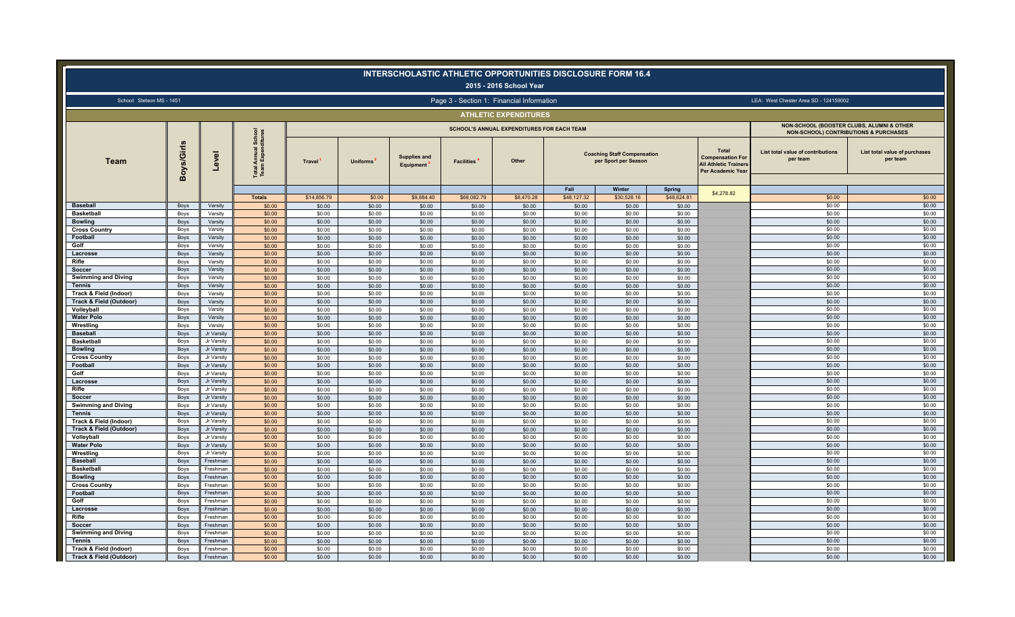|                                                   |                     |                          |                                                           |                     |                       | INTERSCHOLASTIC ATHLETIC OPPORTUNITIES DISCLOSURE FORM 16.4 |                                           | 2015 - 2016 School Year                    |                  |                                                                      |                  |                                                                                                            |                                                                                               |                                           |
|---------------------------------------------------|---------------------|--------------------------|-----------------------------------------------------------|---------------------|-----------------------|-------------------------------------------------------------|-------------------------------------------|--------------------------------------------|------------------|----------------------------------------------------------------------|------------------|------------------------------------------------------------------------------------------------------------|-----------------------------------------------------------------------------------------------|-------------------------------------------|
| School: Stetson MS - 1451                         |                     |                          |                                                           |                     |                       |                                                             | Page 3 - Section 1: Financial Information |                                            |                  |                                                                      |                  |                                                                                                            | LEA: West Chester Area SD - 124159002                                                         |                                           |
|                                                   |                     |                          |                                                           |                     |                       |                                                             |                                           | <b>ATHLETIC EXPENDITURES</b>               |                  |                                                                      |                  |                                                                                                            |                                                                                               |                                           |
|                                                   |                     |                          |                                                           |                     |                       |                                                             |                                           | SCHOOL'S ANNUAL EXPENDITURES FOR EACH TEAM |                  |                                                                      |                  |                                                                                                            | NON-SCHOOL (BOOSTER CLUBS, ALUMNI & OTHER<br><b>NON-SCHOOL) CONTRIBUTIONS &amp; PURCHASES</b> |                                           |
| Team                                              | oys/Girls<br>m      | evel                     | School<br>ditures<br><b>Total Annual 3</b><br>Team Expend | Travel <sup>'</sup> | Uniforms <sup>1</sup> | <b>Supplies and</b><br>Equipment <sup>3</sup>               | <b>Facilities</b>                         | Other                                      | Fall             | <b>Coaching Staff Compensation</b><br>per Sport per Season<br>Winter | <b>Spring</b>    | <b>Total</b><br><b>Compensation For</b><br><b>All Athletic Trainers</b><br>Per Academic Year<br>\$4,278.82 | List total value of contributions<br>per team                                                 | List total value of purchases<br>per team |
|                                                   |                     |                          | <b>Totals</b>                                             | \$14,856.79         | \$0.00                | \$9,884.40                                                  | \$68,082.79                               | \$8,470.28                                 | \$48,127.32      | \$30,528.16                                                          | \$48,624.81      |                                                                                                            | \$0.00                                                                                        | \$0.00                                    |
| <b>Baseball</b>                                   | Boys                | Varsity                  | \$0.00                                                    | \$0.00              | \$0.00                | \$0.00                                                      | \$0.00                                    | \$0.00                                     | \$0.00           | \$0.00                                                               | \$0.00           |                                                                                                            | \$0.00                                                                                        | \$0.00                                    |
| <b>Basketball</b><br><b>Bowling</b>               | Boys                | Varsity<br>Varsity       | \$0.00                                                    | \$0.00              | \$0.00                | \$0.00                                                      | \$0.00                                    | \$0.00                                     | \$0.00           | \$0.00                                                               | \$0.00           |                                                                                                            | \$0.00<br>\$0.00                                                                              | \$0.00<br>\$0.00                          |
| <b>Cross Country</b>                              | Boys<br>Boys        | Varsity                  | \$0.00<br>\$0.00                                          | \$0.00<br>\$0.00    | \$0.00<br>\$0.00      | \$0.00<br>\$0.00                                            | \$0.00<br>\$0.00                          | \$0.00<br>\$0.00                           | \$0.00<br>\$0.00 | \$0.00<br>\$0.00                                                     | \$0.00<br>\$0.00 |                                                                                                            | \$0.00                                                                                        | \$0.00                                    |
| Footbal                                           | Boys                | Varsity                  | \$0.00                                                    | \$0.00              | \$0.00                | \$0.00                                                      | \$0.00                                    | \$0.00                                     | \$0.00           | \$0.00                                                               | \$0.00           |                                                                                                            | \$0.00                                                                                        | \$0.00                                    |
| Golf                                              | Boys                | Varsity                  | \$0.00                                                    | \$0.00              | \$0.00                | \$0.00                                                      | \$0.00                                    | \$0.00                                     | \$0.00           | \$0.00                                                               | \$0.00           |                                                                                                            | \$0.00                                                                                        | \$0.00                                    |
| Lacrosse                                          | Boys                | Varsity                  | \$0.00                                                    | \$0.00              | \$0.00                | \$0.00                                                      | \$0.00                                    | \$0.00                                     | \$0.00           | \$0.00                                                               | \$0.00           |                                                                                                            | \$0.00                                                                                        | \$0.00                                    |
| Rifle                                             | Boys                | Varsity                  | \$0.00                                                    | \$0.00              | \$0.00                | \$0.00                                                      | \$0.00                                    | \$0.00                                     | \$0.00           | \$0.00                                                               | \$0.00           |                                                                                                            | \$0.00                                                                                        | \$0.00                                    |
| Soccer                                            | Boys                | Varsity                  | \$0.00                                                    | \$0.00              | \$0.00                | \$0.00                                                      | \$0.00                                    | \$0.00                                     | \$0.00           | \$0.00                                                               | \$0.00           |                                                                                                            | \$0.00                                                                                        | \$0.00                                    |
| <b>Swimming and Diving</b>                        | Boys                | Varsity                  | \$0.00                                                    | \$0.00              | \$0.00                | \$0.00                                                      | \$0.00                                    | \$0.00                                     | \$0.00           | \$0.00                                                               | \$0.00           |                                                                                                            | \$0.00                                                                                        | \$0.00                                    |
| <b>Tennis</b>                                     | Boys                | Varsity                  | \$0.00                                                    | \$0.00              | \$0.00                | \$0.00                                                      | \$0.00                                    | \$0.00                                     | \$0.00           | \$0.00                                                               | \$0.00           |                                                                                                            | \$0.00                                                                                        | \$0.00                                    |
| Track & Field (Indoor)                            | Boys                | Varsity                  | \$0.00                                                    | \$0.00              | \$0.00                | \$0.00                                                      | \$0.00                                    | \$0.00                                     | \$0.00           | \$0.00                                                               | \$0.00           |                                                                                                            | \$0.00                                                                                        | \$0.00                                    |
| Track & Field (Outdoor)                           | Boys                | Varsity                  | \$0.00                                                    | \$0.00              | \$0.00                | \$0.00                                                      | \$0.00                                    | \$0.00                                     | \$0.00           | \$0.00                                                               | \$0.00           |                                                                                                            | \$0.00                                                                                        | \$0.00                                    |
| Volleyball<br><b>Water Polo</b>                   | Boys<br>Boys        | Varsity<br>Varsity       | \$0.00<br>\$0.00                                          | \$0.00              | \$0.00<br>\$0.00      | \$0.00<br>\$0.00                                            | \$0.00<br>\$0.00                          | \$0.00<br>\$0.00                           | \$0.00<br>\$0.00 | \$0.00                                                               | \$0.00           |                                                                                                            | \$0.00<br>\$0.00                                                                              | \$0.00<br>\$0.00                          |
| Wrestling                                         | Boys                | Varsity                  | \$0.00                                                    | \$0.00<br>\$0.00    | \$0.00                | \$0.00                                                      | \$0.00                                    | \$0.00                                     | \$0.00           | \$0.00<br>\$0.00                                                     | \$0.00<br>\$0.00 |                                                                                                            | \$0.00                                                                                        | \$0.00                                    |
| <b>Baseball</b>                                   | Boys                | Jr Varsity               | \$0.00                                                    | \$0.00              | \$0.00                | \$0.00                                                      | \$0.00                                    | \$0.00                                     | \$0.00           | \$0.00                                                               | \$0.00           |                                                                                                            | \$0.00                                                                                        | \$0.00                                    |
| <b>Basketball</b>                                 | Boys                | Jr Varsity               | \$0.00                                                    | \$0.00              | \$0.00                | \$0.00                                                      | \$0.00                                    | \$0.00                                     | \$0.00           | \$0.00                                                               | \$0.00           |                                                                                                            | \$0.00                                                                                        | \$0.00                                    |
| <b>Bowling</b>                                    | <b>Boys</b>         | Jr Varsity               | \$0.00                                                    | \$0.00              | \$0.00                | \$0.00                                                      | \$0.00                                    | \$0.00                                     | \$0.00           | \$0.00                                                               | \$0.00           |                                                                                                            | \$0.00                                                                                        | \$0.00                                    |
| <b>Cross Country</b>                              | Boys                | Jr Varsity               | \$0.00                                                    | \$0.00              | \$0.00                | \$0.00                                                      | \$0.00                                    | \$0.00                                     | \$0.00           | \$0.00                                                               | \$0.00           |                                                                                                            | \$0.00                                                                                        | \$0.00                                    |
| Football                                          | Boys                | Jr Varsity               | \$0.00                                                    | \$0.00              | \$0.00                | \$0.00                                                      | \$0.00                                    | \$0.00                                     | \$0.00           | \$0.00                                                               | \$0.00           |                                                                                                            | \$0.00                                                                                        | \$0.00                                    |
| Golf                                              | Boys                | Jr Varsity               | \$0.00                                                    | \$0.00              | \$0.00                | \$0.00                                                      | \$0.00                                    | \$0.00                                     | \$0.00           | \$0.00                                                               | \$0.00           |                                                                                                            | \$0.00                                                                                        | \$0.00                                    |
| Lacrosse                                          | Boys                | Jr Varsity               | \$0.00                                                    | \$0.00              | \$0.00                | \$0.00                                                      | \$0.00                                    | \$0.00                                     | \$0.00           | \$0.00                                                               | \$0.00           |                                                                                                            | \$0.00                                                                                        | \$0.00                                    |
| Rifle                                             | Boys                | Jr Varsity               | \$0.00                                                    | \$0.00              | \$0.00                | \$0.00                                                      | \$0.00                                    | \$0.00                                     | \$0.00           | \$0.00                                                               | \$0.00           |                                                                                                            | \$0.00                                                                                        | \$0.00                                    |
| Soccer                                            | Boys                | Jr Varsity               | \$0.00                                                    | \$0.00              | \$0.00                | \$0.00                                                      | \$0.00                                    | \$0.00                                     | \$0.00           | \$0.00                                                               | \$0.00           |                                                                                                            | \$0.00                                                                                        | \$0.00                                    |
| <b>Swimming and Diving</b>                        | Boys                | Jr Varsity               | \$0.00                                                    | \$0.00              | \$0.00                | \$0.00                                                      | \$0.00                                    | \$0.00                                     | \$0.00           | \$0.00                                                               | \$0.00           |                                                                                                            | \$0.00                                                                                        | \$0.00                                    |
| Tennis                                            | Boys                | Jr Varsity               | \$0.00                                                    | \$0.00              | \$0.00                | \$0.00                                                      | \$0.00                                    | \$0.00                                     | \$0.00           | \$0.00                                                               | \$0.00           |                                                                                                            | \$0.00                                                                                        | \$0.00                                    |
| Track & Field (Indoor)<br>Track & Field (Outdoor) | Boys                | Jr Varsity               | \$0.00                                                    | \$0.00              | \$0.00                | \$0.00                                                      | \$0.00                                    | \$0.00                                     | \$0.00           | \$0.00                                                               | \$0.00           |                                                                                                            | \$0.00<br>\$0.00                                                                              | \$0.00<br>\$0.00                          |
| Volleyball                                        | <b>Boys</b><br>Boys | Jr Varsity<br>Jr Varsity | \$0.00<br>\$0.00                                          | \$0.00<br>\$0.00    | \$0.00<br>\$0.00      | \$0.00<br>\$0.00                                            | \$0.00<br>\$0.00                          | \$0.00<br>\$0.00                           | \$0.00<br>\$0.00 | \$0.00<br>\$0.00                                                     | \$0.00<br>\$0.00 |                                                                                                            | \$0.00                                                                                        | \$0.00                                    |
| <b>Water Polo</b>                                 | Boys                | Jr Varsity               | \$0.00                                                    | \$0.00              | \$0.00                | \$0.00                                                      | \$0.00                                    | \$0.00                                     | \$0.00           | \$0.00                                                               | \$0.00           |                                                                                                            | \$0.00                                                                                        | \$0.00                                    |
| Wrestling                                         | Boys                | Jr Varsity               | \$0.00                                                    | \$0.00              | \$0.00                | \$0.00                                                      | \$0.00                                    | \$0.00                                     | \$0.00           | \$0.00                                                               | \$0.00           |                                                                                                            | \$0.00                                                                                        | \$0.00                                    |
| <b>Baseball</b>                                   | Boys                | Freshman                 | \$0.00                                                    | \$0.00              | \$0.00                | \$0.00                                                      | \$0.00                                    | \$0.00                                     | \$0.00           | \$0.00                                                               | \$0.00           |                                                                                                            | \$0.00                                                                                        | \$0.00                                    |
| <b>Basketball</b>                                 | Boys                | Freshman                 | \$0.00                                                    | \$0.00              | \$0.00                | \$0.00                                                      | \$0.00                                    | \$0.00                                     | \$0.00           | \$0.00                                                               | \$0.00           |                                                                                                            | \$0.00                                                                                        | \$0.00                                    |
| <b>Bowling</b>                                    | Boys                | Freshman                 | \$0.00                                                    | \$0.00              | \$0.00                | \$0.00                                                      | \$0.00                                    | \$0.00                                     | \$0.00           | \$0.00                                                               | \$0.00           |                                                                                                            | \$0.00                                                                                        | \$0.00                                    |
| <b>Cross Country</b>                              | Boys                | Freshman                 | \$0.00                                                    | \$0.00              | \$0.00                | \$0.00                                                      | \$0.00                                    | \$0.00                                     | \$0.00           | \$0.00                                                               | \$0.00           |                                                                                                            | \$0.00                                                                                        | \$0.00                                    |
| Football                                          | Boys                | Freshman                 | \$0.00                                                    | \$0.00              | \$0.00                | \$0.00                                                      | \$0.00                                    | \$0.00                                     | \$0.00           | \$0.00                                                               | \$0.00           |                                                                                                            | \$0.00                                                                                        | \$0.00                                    |
| Golf                                              | Boys                | Freshman                 | \$0.00                                                    | \$0.00              | \$0.00                | \$0.00                                                      | \$0.00                                    | \$0.00                                     | \$0.00           | \$0.00                                                               | \$0.00           |                                                                                                            | \$0.00                                                                                        | \$0.00                                    |
| Lacrosse<br>Rifle                                 | Boys                | Freshman                 | \$0.00                                                    | \$0.00              | \$0.00                | \$0.00                                                      | \$0.00                                    | \$0.00                                     | \$0.00           | \$0.00                                                               | \$0.00           |                                                                                                            | \$0.00                                                                                        | \$0.00                                    |
|                                                   | Boys<br>Boys        | Freshman<br>Freshman     | \$0.00<br>\$0.00                                          | \$0.00<br>\$0.00    | \$0.00<br>\$0.00      | \$0.00<br>\$0.00                                            | \$0.00<br>\$0.00                          | \$0.00<br>\$0.00                           | \$0.00<br>\$0.00 | \$0.00<br>\$0.00                                                     | \$0.00           |                                                                                                            | \$0.00<br>\$0.00                                                                              | \$0.00<br>\$0.00                          |
| Soccer<br><b>Swimming and Diving</b>              | Boys                | Freshman                 | \$0.00                                                    | \$0.00              | \$0.00                | \$0.00                                                      | \$0.00                                    | \$0.00                                     | \$0.00           | \$0.00                                                               | \$0.00<br>\$0.00 |                                                                                                            | \$0.00                                                                                        | \$0.00                                    |
| <b>Tennis</b>                                     | Boys                | Freshman                 | \$0.00                                                    | \$0.00              | \$0.00                | \$0.00                                                      | \$0.00                                    | \$0.00                                     | \$0.00           | \$0.00                                                               | \$0.00           |                                                                                                            | \$0.00                                                                                        | \$0.00                                    |
| Track & Field (Indoor)                            | Boys                | Freshman                 | \$0.00                                                    | \$0.00              | \$0.00                | \$0.00                                                      | \$0.00                                    | \$0.00                                     | \$0.00           | \$0.00                                                               | \$0.00           |                                                                                                            | \$0.00                                                                                        | \$0.00                                    |
| Track & Field (Outdoor)                           | Boys                | Freshman                 | \$0.00                                                    | \$0.00              | \$0.00                | \$0.00                                                      | \$0.00                                    | \$0.00                                     | \$0.00           | \$0.00                                                               | \$0.00           |                                                                                                            | \$0.00                                                                                        | \$0.00                                    |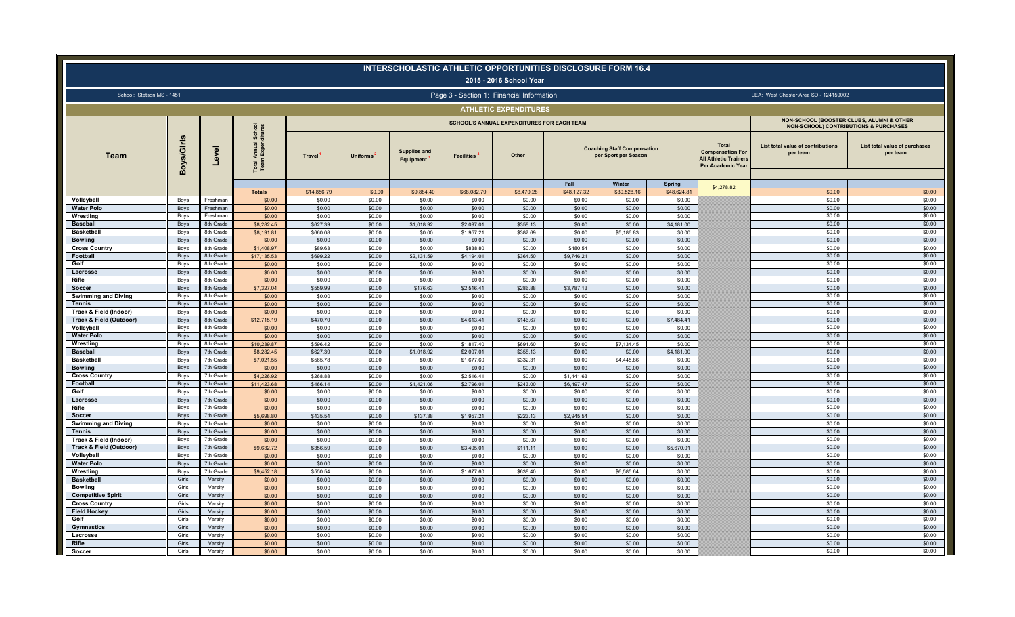|                                             |                |                        |                                                      |                    |                  |                                               |                                           | 2015 - 2016 School Year                    |                      | <b>INTERSCHOLASTIC ATHLETIC OPPORTUNITIES DISCLOSURE FORM 16.4</b>   |                  |                                                                                                            |                                                                                               |                                           |
|---------------------------------------------|----------------|------------------------|------------------------------------------------------|--------------------|------------------|-----------------------------------------------|-------------------------------------------|--------------------------------------------|----------------------|----------------------------------------------------------------------|------------------|------------------------------------------------------------------------------------------------------------|-----------------------------------------------------------------------------------------------|-------------------------------------------|
| School: Stetson MS - 1451                   |                |                        |                                                      |                    |                  |                                               | Page 3 - Section 1: Financial Information |                                            |                      |                                                                      |                  |                                                                                                            | LEA: West Chester Area SD - 124159002                                                         |                                           |
|                                             |                |                        |                                                      |                    |                  |                                               |                                           | <b>ATHLETIC EXPENDITURES</b>               |                      |                                                                      |                  |                                                                                                            |                                                                                               |                                           |
|                                             |                |                        |                                                      |                    |                  |                                               |                                           | SCHOOL'S ANNUAL EXPENDITURES FOR EACH TEAM |                      |                                                                      |                  |                                                                                                            | NON-SCHOOL (BOOSTER CLUBS, ALUMNI & OTHER<br><b>NON-SCHOOL) CONTRIBUTIONS &amp; PURCHASES</b> |                                           |
| Team                                        | Boys/Girls     | $\overline{g}$<br>ୄ    | I Annual School<br>m Expenditures<br>Total A<br>Team | <b>Travel</b>      | <b>Uniforms</b>  | <b>Supplies and</b><br>Equipment <sup>1</sup> | <b>Facilities</b>                         | Other                                      | Fall                 | <b>Coaching Staff Compensation</b><br>per Sport per Season<br>Winter | <b>Spring</b>    | <b>Total</b><br><b>Compensation For</b><br><b>All Athletic Trainers</b><br>Per Academic Year<br>\$4,278.82 | List total value of contributions<br>per team                                                 | List total value of purchases<br>per team |
|                                             |                |                        | <b>Totals</b>                                        | \$14,856.79        | \$0.00           | \$9,884.40                                    | \$68,082.79                               | \$8,470.28                                 | \$48,127.32          | \$30,528.16                                                          | \$48,624.81      |                                                                                                            | \$0.00                                                                                        | \$0.00                                    |
| Volleyball                                  | Boys           | Freshman               | \$0.00                                               | \$0.00             | \$0.00           | \$0.00                                        | \$0.00                                    | \$0.00                                     | \$0.00               | \$0.00                                                               | \$0.00           |                                                                                                            | \$0.00                                                                                        | \$0.00                                    |
| <b>Water Polo</b><br>Wrestling              | Boys<br>Boys   | Freshman<br>Freshman   | \$0.00<br>\$0.00                                     | \$0.00<br>\$0.00   | \$0.00<br>\$0.00 | \$0.00<br>\$0.00                              | \$0.00<br>\$0.00                          | \$0.00<br>\$0.00                           | \$0.00<br>\$0.00     | \$0.00<br>\$0.00                                                     | \$0.00<br>\$0.00 |                                                                                                            | \$0.00<br>\$0.00                                                                              | \$0.00<br>\$0.00                          |
| <b>Baseball</b>                             | Boys           | 8th Grade              | \$8,282.45                                           | \$627.39           | \$0.00           | \$1,018.92                                    | \$2,097.01                                | \$358.13                                   | \$0.00               | \$0.00                                                               | \$4,181.00       |                                                                                                            | \$0.00                                                                                        | \$0.00                                    |
| <b>Basketbal</b>                            | Boys           | 8th Grade              | \$8,191.81                                           | \$660.08           | \$0.00           | \$0.00                                        | \$1,957.21                                | \$387.69                                   | \$0.00               | \$5,186.83                                                           | \$0.00           |                                                                                                            | \$0.00                                                                                        | \$0.00                                    |
| <b>Bowling</b>                              | Boys           | 8th Grade              | \$0.00                                               | \$0.00             | \$0.00           | \$0.00                                        | \$0.00                                    | \$0.00                                     | \$0.00               | \$0.00                                                               | \$0.00           |                                                                                                            | \$0.00                                                                                        | \$0.00                                    |
| <b>Cross Country</b>                        | Boys           | 8th Grade              | \$1,408.97                                           | \$89.63            | \$0.00           | \$0.00                                        | \$838.80                                  | \$0.00                                     | \$480.54             | \$0.00                                                               | \$0.00           |                                                                                                            | \$0.00                                                                                        | \$0.00                                    |
| Football                                    | Boys           | 8th Grade              | \$17,135.53                                          | \$699.22           | \$0.00           | \$2,131.59                                    | \$4,194.01                                | \$364.50                                   | \$9,746.21           | \$0.00                                                               | \$0.00           |                                                                                                            | \$0.00                                                                                        | \$0.00                                    |
| Golf                                        | Boys           | 8th Grade              | \$0.00                                               | \$0.00             | \$0.00           | \$0.00                                        | \$0.00                                    | \$0.00                                     | \$0.00               | \$0.00                                                               | \$0.00           |                                                                                                            | \$0.00                                                                                        | \$0.00                                    |
| Lacrosse                                    | Boys           | 8th Grade              | \$0.00                                               | \$0.00             | \$0.00           | \$0.00                                        | \$0.00                                    | \$0.00                                     | \$0.00               | \$0.00                                                               | \$0.00           |                                                                                                            | \$0.00                                                                                        | \$0.00                                    |
| Rifle                                       | Boys           | 8th Grade              | \$0.00                                               | \$0.00             | \$0.00           | \$0.00                                        | \$0.00                                    | \$0.00                                     | \$0.00               | \$0.00                                                               | \$0.00           |                                                                                                            | \$0.00                                                                                        | \$0.00                                    |
| Soccer                                      | Boys           | 8th Grade              | \$7,327.04                                           | \$559.99           | \$0.00           | \$176.63                                      | \$2,516.41                                | \$286.88                                   | \$3,787.13           | \$0.00                                                               | \$0.00           |                                                                                                            | \$0.00<br>\$0.00                                                                              | \$0.00<br>\$0.00                          |
| <b>Swimming and Diving</b><br><b>Tennis</b> | Boys<br>Boys   | 8th Grade<br>8th Grade | \$0.00<br>\$0.00                                     | \$0.00<br>\$0.00   | \$0.00<br>\$0.00 | \$0.00<br>\$0.00                              | \$0.00<br>\$0.00                          | \$0.00<br>\$0.00                           | \$0.00<br>\$0.00     | \$0.00<br>\$0.00                                                     | \$0.00<br>\$0.00 |                                                                                                            | \$0.00                                                                                        | \$0.00                                    |
| Track & Field (Indoor)                      | Boys           | 8th Grade              | \$0.00                                               | \$0.00             | \$0.00           | \$0.00                                        | \$0.00                                    | \$0.00                                     | \$0.00               | \$0.00                                                               | \$0.00           |                                                                                                            | \$0.00                                                                                        | \$0.00                                    |
| Track & Field (Outdoor)                     | Boys           | 8th Grade              | \$12,715.19                                          | \$470.70           | \$0.00           | \$0.00                                        | \$4,613.41                                | \$146.67                                   | \$0.00               | \$0.00                                                               | \$7,484.41       |                                                                                                            | \$0.00                                                                                        | \$0.00                                    |
| Volleyball                                  | Boys           | 8th Grade              | \$0.00                                               | \$0.00             | \$0.00           | \$0.00                                        | \$0.00                                    | \$0.00                                     | \$0.00               | \$0.00                                                               | \$0.00           |                                                                                                            | \$0.00                                                                                        | \$0.00                                    |
| <b>Water Polo</b>                           | Boys           | 8th Grade              | \$0.00                                               | \$0.00             | \$0.00           | \$0.00                                        | \$0.00                                    | \$0.00                                     | \$0.00               | \$0.00                                                               | \$0.00           |                                                                                                            | \$0.00                                                                                        | \$0.00                                    |
| Wrestling                                   | Boys           | 8th Grade              | \$10,239.87                                          | \$596.42           | \$0.00           | \$0.00                                        | \$1,817.40                                | \$691.60                                   | \$0.00               | \$7,134.45                                                           | \$0.00           |                                                                                                            | \$0.00                                                                                        | \$0.00                                    |
| <b>Baseball</b>                             | Boys           | 7th Grade              | \$8,282.45                                           | \$627.39           | \$0.00           | \$1,018.92                                    | \$2,097.01                                | \$358.13                                   | \$0.00               | \$0.00                                                               | \$4,181.00       |                                                                                                            | \$0.00                                                                                        | \$0.00                                    |
| <b>Basketball</b>                           | Boys           | 7th Grade              | \$7,021.55                                           | \$565.78           | \$0.00           | \$0.00                                        | \$1,677.60                                | \$332.31                                   | \$0.00               | \$4,445.86                                                           | \$0.00           |                                                                                                            | \$0.00                                                                                        | \$0.00                                    |
| <b>Bowling</b>                              | Boys<br>Boys   | 7th Grade<br>7th Grade | \$0.00<br>\$4,226.92                                 | \$0.00<br>\$268.88 | \$0.00<br>\$0.00 | \$0.00<br>\$0.00                              | \$0.00<br>\$2,516.41                      | \$0.00<br>\$0.00                           | \$0.00<br>\$1,441.63 | \$0.00<br>\$0.00                                                     | \$0.00<br>\$0.00 |                                                                                                            | \$0.00<br>\$0.00                                                                              | \$0.00<br>\$0.00                          |
| <b>Cross Country</b><br>Football            | Boys           | 7th Grade              | \$11,423,68                                          | \$466.14           | \$0.00           | \$1,421.06                                    | \$2,796.01                                | \$243.00                                   | \$6,497.47           | \$0.00                                                               | \$0.00           |                                                                                                            | \$0.00                                                                                        | \$0.00                                    |
| Golf                                        | Boys           | 7th Grade              | \$0.00                                               | \$0.00             | \$0.00           | \$0.00                                        | \$0.00                                    | \$0.00                                     | \$0.00               | \$0.00                                                               | \$0.00           |                                                                                                            | \$0.00                                                                                        | \$0.00                                    |
| Lacrosse                                    | Boys           | 7th Grade              | \$0.00                                               | \$0.00             | \$0.00           | \$0.00                                        | \$0.00                                    | \$0.00                                     | \$0.00               | \$0.00                                                               | \$0.00           |                                                                                                            | \$0.00                                                                                        | \$0.00                                    |
| Rifle                                       | Boys           | 7th Grade              | \$0.00                                               | \$0.00             | \$0.00           | \$0.00                                        | \$0.00                                    | \$0.00                                     | \$0.00               | \$0.00                                                               | \$0.00           |                                                                                                            | \$0.00                                                                                        | \$0.00                                    |
| Soccer                                      | Boys           | 7th Grade              | \$5,698.80                                           | \$435.54           | \$0.00           | \$137.38                                      | \$1,957.21                                | \$223.13                                   | \$2,945.54           | \$0.00                                                               | \$0.00           |                                                                                                            | \$0.00                                                                                        | \$0.00                                    |
| <b>Swimming and Diving</b>                  | Boys           | 7th Grade              | \$0.00                                               | \$0.00             | \$0.00           | \$0.00                                        | \$0.00                                    | \$0.00                                     | \$0.00               | \$0.00                                                               | \$0.00           |                                                                                                            | \$0.00                                                                                        | \$0.00                                    |
| <b>Tennis</b>                               | Boys           | 7th Grade              | \$0.00                                               | \$0.00             | \$0.00           | \$0.00                                        | \$0.00                                    | \$0.00                                     | \$0.00               | \$0.00                                                               | \$0.00           |                                                                                                            | \$0.00                                                                                        | \$0.00                                    |
| Track & Field (Indoor)                      | Boys           | 7th Grade              | \$0.00                                               | \$0.00             | \$0.00           | \$0.00                                        | \$0.00                                    | \$0.00                                     | \$0.00               | \$0.00                                                               | \$0.00           |                                                                                                            | \$0.00                                                                                        | \$0.00                                    |
| Track & Field (Outdoor)                     | Boys           | 7th Grade              | \$9,632.72                                           | \$356.59           | \$0.00           | \$0.00                                        | \$3,495.01                                | \$111.11                                   | \$0.00               | \$0.00                                                               | \$5,670.01       |                                                                                                            | \$0.00                                                                                        | \$0.00                                    |
| Volleyball<br><b>Water Polo</b>             | Boys<br>Boys   | 7th Grade<br>7th Grade | \$0.00<br>\$0.00                                     | \$0.00<br>\$0.00   | \$0.00<br>\$0.00 | \$0.00<br>\$0.00                              | \$0.00<br>\$0.00                          | \$0.00<br>\$0.00                           | \$0.00<br>\$0.00     | \$0.00<br>\$0.00                                                     | \$0.00<br>\$0.00 |                                                                                                            | \$0.00<br>\$0.00                                                                              | \$0.00<br>\$0.00                          |
| Wrestling                                   | Boys           | 7th Grade              | \$9,452.18                                           | \$550.54           | \$0.00           | \$0.00                                        | \$1,677.60                                | \$638.40                                   | \$0.00               | \$6,585.64                                                           | \$0.00           |                                                                                                            | \$0.00                                                                                        | \$0.00                                    |
| <b>Basketball</b>                           | Girls          | Varsity                | \$0.00                                               | \$0.00             | \$0.00           | \$0.00                                        | \$0.00                                    | \$0.00                                     | \$0.00               | \$0.00                                                               | \$0.00           |                                                                                                            | \$0.00                                                                                        | \$0.00                                    |
| <b>Bowling</b>                              | Girls          | Varsity                | \$0.00                                               | \$0.00             | \$0.00           | \$0.00                                        | \$0.00                                    | \$0.00                                     | \$0.00               | \$0.00                                                               | \$0.00           |                                                                                                            | \$0.00                                                                                        | \$0.00                                    |
| <b>Competitive Spirit</b>                   | Girls          | Varsity                | \$0.00                                               | \$0.00             | \$0.00           | \$0.00                                        | \$0.00                                    | \$0.00                                     | \$0.00               | \$0.00                                                               | \$0.00           |                                                                                                            | \$0.00                                                                                        | \$0.00                                    |
| <b>Cross Country</b>                        | Girls          | Varsity                | \$0.00                                               | \$0.00             | \$0.00           | \$0.00                                        | \$0.00                                    | \$0.00                                     | \$0.00               | \$0.00                                                               | \$0.00           |                                                                                                            | \$0.00                                                                                        | \$0.00                                    |
| <b>Field Hockey</b>                         | Girls          | Varsity                | \$0.00                                               | \$0.00             | \$0.00           | \$0.00                                        | \$0.00                                    | \$0.00                                     | \$0.00               | \$0.00                                                               | \$0.00           |                                                                                                            | \$0.00                                                                                        | \$0.00                                    |
| Golf                                        | Girls          | Varsity                | \$0.00                                               | \$0.00             | \$0.00           | \$0.00                                        | \$0.00                                    | \$0.00                                     | \$0.00               | \$0.00                                                               | \$0.00           |                                                                                                            | \$0.00                                                                                        | \$0.00                                    |
| Gymnastics                                  | Girls          | Varsity                | \$0.00                                               | \$0.00             | \$0.00           | \$0.00                                        | \$0.00                                    | \$0.00                                     | \$0.00               | \$0.00                                                               | \$0.00           |                                                                                                            | \$0.00                                                                                        | \$0.00                                    |
| Lacrosse<br>Rifle                           | Girls<br>Girls | Varsity<br>Varsity     | \$0.00<br>\$0.00                                     | \$0.00<br>\$0.00   | \$0.00<br>\$0.00 | \$0.00<br>\$0.00                              | \$0.00<br>\$0.00                          | \$0.00<br>\$0.00                           | \$0.00<br>\$0.00     | \$0.00<br>\$0.00                                                     | \$0.00<br>\$0.00 |                                                                                                            | \$0.00<br>\$0.00                                                                              | \$0.00<br>\$0.00                          |
| Soccer                                      | Girls          | Varsity                | \$0.00                                               | \$0.00             | \$0.00           | \$0.00                                        | \$0.00                                    | \$0.00                                     | \$0.00               | \$0.00                                                               | \$0.00           |                                                                                                            | \$0.00                                                                                        | \$0.00                                    |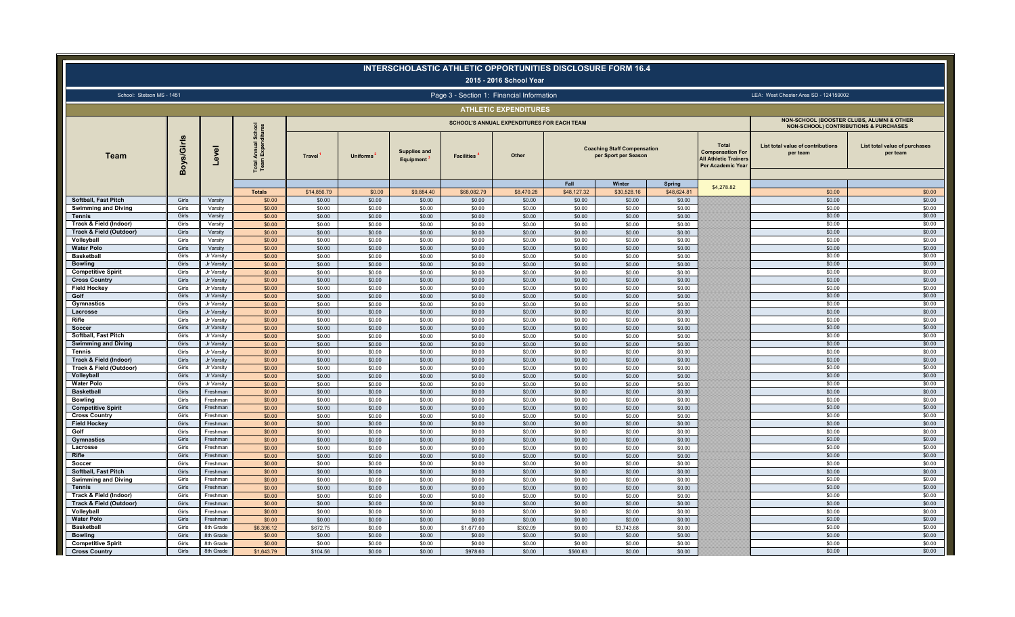|                                                           |                |                          |                                          |                    |                  |                                        |                    | 2015 - 2016 School Year                           |                    | <b>INTERSCHOLASTIC ATHLETIC OPPORTUNITIES DISCLOSURE FORM 16.4</b>   |                  |                                                                                                     |                                                                                                           |                                           |
|-----------------------------------------------------------|----------------|--------------------------|------------------------------------------|--------------------|------------------|----------------------------------------|--------------------|---------------------------------------------------|--------------------|----------------------------------------------------------------------|------------------|-----------------------------------------------------------------------------------------------------|-----------------------------------------------------------------------------------------------------------|-------------------------------------------|
| School: Stetson MS - 1451                                 |                |                          |                                          |                    |                  |                                        |                    | Page 3 - Section 1: Financial Information         |                    |                                                                      |                  |                                                                                                     | LEA: West Chester Area SD - 124159002                                                                     |                                           |
|                                                           |                |                          |                                          |                    |                  |                                        |                    | <b>ATHLETIC EXPENDITURES</b>                      |                    |                                                                      |                  |                                                                                                     |                                                                                                           |                                           |
|                                                           |                |                          |                                          |                    |                  |                                        |                    | <b>SCHOOL'S ANNUAL EXPENDITURES FOR EACH TEAM</b> |                    |                                                                      |                  |                                                                                                     | <b>NON-SCHOOL (BOOSTER CLUBS, ALUMNI &amp; OTHER)</b><br><b>NON-SCHOOL) CONTRIBUTIONS &amp; PURCHASES</b> |                                           |
| Team                                                      | Boys/Girls     | $\overline{g}$<br>ို     | Total Annual School<br>Team Expenditures | <b>Travel</b>      | <b>Uniforms</b>  | Supplies and<br>Equipment <sup>1</sup> | <b>Facilities</b>  | Other                                             | Fall               | <b>Coaching Staff Compensation</b><br>per Sport per Season<br>Winter | <b>Spring</b>    | Total<br><b>Compensation For</b><br><b>All Athletic Trainers</b><br>Per Academic Year<br>\$4,278.82 | List total value of contributions<br>per team                                                             | List total value of purchases<br>per team |
|                                                           |                |                          | <b>Totals</b>                            | \$14,856.79        | \$0.00           | \$9,884.40                             | \$68,082.79        | \$8,470.28                                        | \$48,127.32        | \$30,528.16                                                          | \$48,624.81      |                                                                                                     | \$0.00                                                                                                    | \$0.00                                    |
| <b>Softball, Fast Pitch</b><br><b>Swimming and Diving</b> | Girls<br>Girls | Varsity<br>Varsity       | \$0.00<br>\$0.00                         | \$0.00<br>\$0.00   | \$0.00<br>\$0.00 | \$0.00<br>\$0.00                       | \$0.00<br>\$0.00   | \$0.00<br>\$0.00                                  | \$0.00<br>\$0.00   | \$0.00<br>\$0.00                                                     | \$0.00<br>\$0.00 |                                                                                                     | \$0.00<br>\$0.00                                                                                          | \$0.00<br>\$0.00                          |
| <b>Tennis</b>                                             | Girls          | Varsity                  | \$0.00                                   | \$0.00             | \$0.00           | \$0.00                                 | \$0.00             | \$0.00                                            | \$0.00             | \$0.00                                                               | \$0.00           |                                                                                                     | \$0.00                                                                                                    | \$0.00                                    |
| Track & Field (Indoor)                                    | Girls          | Varsity                  | \$0.00                                   | \$0.00             | \$0.00           | \$0.00                                 | \$0.00             | \$0.00                                            | \$0.00             | \$0.00                                                               | \$0.00           |                                                                                                     | \$0.00                                                                                                    | \$0.00                                    |
| Track & Field (Outdoor)                                   | Girls          | Varsity                  | \$0.00                                   | \$0.00             | \$0.00           | \$0.00                                 | \$0.00             | \$0.00                                            | \$0.00             | \$0.00                                                               | \$0.00           |                                                                                                     | \$0.00                                                                                                    | \$0.00                                    |
| Volleyball                                                | Girls          | Varsity                  | \$0.00                                   | \$0.00             | \$0.00           | \$0.00                                 | \$0.00             | \$0.00                                            | \$0.00             | \$0.00                                                               | \$0.00           |                                                                                                     | \$0.00                                                                                                    | \$0.00                                    |
| <b>Water Polo</b>                                         | Girls          | Varsity                  | \$0.00                                   | \$0.00             | \$0.00           | \$0.00                                 | \$0.00             | \$0.00                                            | \$0.00             | \$0.00                                                               | \$0.00           |                                                                                                     | \$0.00                                                                                                    | \$0.00                                    |
| <b>Basketball</b>                                         | Girls          | Jr Varsity               | \$0.00                                   | \$0.00             | \$0.00           | \$0.00                                 | \$0.00             | \$0.00                                            | \$0.00             | \$0.00                                                               | \$0.00           |                                                                                                     | \$0.00                                                                                                    | \$0.00                                    |
| <b>Bowling</b>                                            | Girls          | Jr Varsity               | \$0.00                                   | \$0.00             | \$0.00           | \$0.00                                 | \$0.00             | \$0.00                                            | \$0.00             | \$0.00                                                               | \$0.00           |                                                                                                     | \$0.00                                                                                                    | \$0.00                                    |
| <b>Competitive Spirit</b>                                 | Girls<br>Girls | Jr Varsity               | \$0.00                                   | \$0.00             | \$0.00           | \$0.00                                 | \$0.00             | \$0.00                                            | \$0.00             | \$0.00                                                               | \$0.00           |                                                                                                     | \$0.00<br>\$0.00                                                                                          | \$0.00<br>\$0.00                          |
| <b>Cross Country</b><br><b>Field Hockey</b>               | Girls          | Jr Varsity<br>Jr Varsity | \$0.00<br>\$0.00                         | \$0.00<br>\$0.00   | \$0.00<br>\$0.00 | \$0.00<br>\$0.00                       | \$0.00<br>\$0.00   | \$0.00<br>\$0.00                                  | \$0.00<br>\$0.00   | \$0.00<br>\$0.00                                                     | \$0.00<br>\$0.00 |                                                                                                     | \$0.00                                                                                                    | \$0.00                                    |
| Golf                                                      | Girls          | Jr Varsity               | \$0.00                                   | \$0.00             | \$0.00           | \$0.00                                 | \$0.00             | \$0.00                                            | \$0.00             | \$0.00                                                               | \$0.00           |                                                                                                     | \$0.00                                                                                                    | \$0.00                                    |
| Gymnastics                                                | Girls          | Jr Varsity               | \$0.00                                   | \$0.00             | \$0.00           | \$0.00                                 | \$0.00             | \$0.00                                            | \$0.00             | \$0.00                                                               | \$0.00           |                                                                                                     | \$0.00                                                                                                    | \$0.00                                    |
| Lacrosse                                                  | Girls          | Jr Varsity               | \$0.00                                   | \$0.00             | \$0.00           | \$0.00                                 | \$0.00             | \$0.00                                            | \$0.00             | \$0.00                                                               | \$0.00           |                                                                                                     | \$0.00                                                                                                    | \$0.00                                    |
| Rifle                                                     | Girls          | Jr Varsity               | \$0.00                                   | \$0.00             | \$0.00           | \$0.00                                 | \$0.00             | \$0.00                                            | \$0.00             | \$0.00                                                               | \$0.00           |                                                                                                     | \$0.00                                                                                                    | \$0.00                                    |
| Soccer                                                    | Girls          | Jr Varsity               | \$0.00                                   | \$0.00             | \$0.00           | \$0.00                                 | \$0.00             | \$0.00                                            | \$0.00             | \$0.00                                                               | \$0.00           |                                                                                                     | \$0.00                                                                                                    | \$0.00                                    |
| Softball, Fast Pitch                                      | Girls          | Jr Varsity               | \$0.00                                   | \$0.00             | \$0.00           | \$0.00                                 | \$0.00             | \$0.00                                            | \$0.00             | \$0.00                                                               | \$0.00           |                                                                                                     | \$0.00                                                                                                    | \$0.00                                    |
| <b>Swimming and Diving</b>                                | Girls          | Jr Varsity               | \$0.00                                   | \$0.00             | \$0.00           | \$0.00                                 | \$0.00             | \$0.00                                            | \$0.00             | \$0.00                                                               | \$0.00           |                                                                                                     | \$0.00                                                                                                    | \$0.00                                    |
| <b>Tennis</b>                                             | Girls          | Jr Varsity               | \$0.00                                   | \$0.00             | \$0.00           | \$0.00                                 | \$0.00             | \$0.00                                            | \$0.00             | \$0.00                                                               | \$0.00           |                                                                                                     | \$0.00                                                                                                    | \$0.00                                    |
| Track & Field (Indoor)                                    | Girls          | Jr Varsity               | \$0.00                                   | \$0.00             | \$0.00           | \$0.00                                 | \$0.00             | \$0.00                                            | \$0.00             | \$0.00                                                               | \$0.00           |                                                                                                     | \$0.00                                                                                                    | \$0.00                                    |
| Track & Field (Outdoor)                                   | Girls<br>Girls | Jr Varsity<br>Jr Varsity | \$0.00<br>\$0.00                         | \$0.00<br>\$0.00   | \$0.00<br>\$0.00 | \$0.00<br>\$0.00                       | \$0.00<br>\$0.00   | \$0.00<br>\$0.00                                  | \$0.00<br>\$0.00   | \$0.00<br>\$0.00                                                     | \$0.00<br>\$0.00 |                                                                                                     | \$0.00<br>\$0.00                                                                                          | \$0.00<br>\$0.00                          |
| Volleyball<br><b>Water Polo</b>                           | Girls          | Jr Varsity               | \$0.00                                   | \$0.00             | \$0.00           | \$0.00                                 | \$0.00             | \$0.00                                            | \$0.00             | \$0.00                                                               | \$0.00           |                                                                                                     | \$0.00                                                                                                    | \$0.00                                    |
| <b>Basketball</b>                                         | Girls          | Freshman                 | \$0.00                                   | \$0.00             | \$0.00           | \$0.00                                 | \$0.00             | \$0.00                                            | \$0.00             | \$0.00                                                               | \$0.00           |                                                                                                     | \$0.00                                                                                                    | \$0.00                                    |
| <b>Bowling</b>                                            | Girls          | Freshman                 | \$0.00                                   | \$0.00             | \$0.00           | \$0.00                                 | \$0.00             | \$0.00                                            | \$0.00             | \$0.00                                                               | \$0.00           |                                                                                                     | \$0.00                                                                                                    | \$0.00                                    |
| <b>Competitive Spirit</b>                                 | Girls          | Freshman                 | \$0.00                                   | \$0.00             | \$0.00           | \$0.00                                 | \$0.00             | \$0.00                                            | \$0.00             | \$0.00                                                               | \$0.00           |                                                                                                     | \$0.00                                                                                                    | \$0.00                                    |
| <b>Cross Country</b>                                      | Girls          | Freshman                 | \$0.00                                   | \$0.00             | \$0.00           | \$0.00                                 | \$0.00             | \$0.00                                            | \$0.00             | \$0.00                                                               | \$0.00           |                                                                                                     | \$0.00                                                                                                    | \$0.00                                    |
| <b>Field Hockey</b>                                       | Girls          | Freshman                 | \$0.00                                   | \$0.00             | \$0.00           | \$0.00                                 | \$0.00             | \$0.00                                            | \$0.00             | \$0.00                                                               | \$0.00           |                                                                                                     | \$0.00                                                                                                    | \$0.00                                    |
| Golf                                                      | Girls          | Freshman                 | \$0.00                                   | \$0.00             | \$0.00           | \$0.00                                 | \$0.00             | \$0.00                                            | \$0.00             | \$0.00                                                               | \$0.00           |                                                                                                     | \$0.00                                                                                                    | \$0.00                                    |
| Gymnastics                                                | Girls          | Freshman                 | \$0.00                                   | \$0.00             | \$0.00           | \$0.00                                 | \$0.00             | \$0.00                                            | \$0.00             | \$0.00                                                               | \$0.00           |                                                                                                     | \$0.00                                                                                                    | \$0.00                                    |
| Lacrosse                                                  | Girls          | Freshman                 | \$0.00                                   | \$0.00             | \$0.00           | \$0.00                                 | \$0.00             | \$0.00                                            | \$0.00             | \$0.00                                                               | \$0.00           |                                                                                                     | \$0.00                                                                                                    | \$0.00                                    |
| Rifle<br>Soccer                                           | Girls<br>Girls | Freshmar<br>Freshman     | \$0.00<br>\$0.00                         | \$0.00<br>\$0.00   | \$0.00<br>\$0.00 | \$0.00<br>\$0.00                       | \$0.00<br>\$0.00   | \$0.00<br>\$0.00                                  | \$0.00<br>\$0.00   | \$0.00<br>\$0.00                                                     | \$0.00<br>\$0.00 |                                                                                                     | \$0.00<br>\$0.00                                                                                          | \$0.00<br>\$0.00                          |
| <b>Softball, Fast Pitch</b>                               | Girls          | Freshman                 | \$0.00                                   | \$0.00             | \$0.00           | \$0.00                                 | \$0.00             | \$0.00                                            | \$0.00             | \$0.00                                                               | \$0.00           |                                                                                                     | \$0.00                                                                                                    | \$0.00                                    |
| <b>Swimming and Diving</b>                                | Girls          | Freshman                 | \$0.00                                   | \$0.00             | \$0.00           | \$0.00                                 | \$0.00             | \$0.00                                            | \$0.00             | \$0.00                                                               | \$0.00           |                                                                                                     | \$0.00                                                                                                    | \$0.00                                    |
| <b>Tennis</b>                                             | Girls          | Freshman                 | \$0.00                                   | \$0.00             | \$0.00           | \$0.00                                 | \$0.00             | \$0.00                                            | \$0.00             | \$0.00                                                               | \$0.00           |                                                                                                     | \$0.00                                                                                                    | \$0.00                                    |
| Track & Field (Indoor)                                    | Girls          | Freshman                 | \$0.00                                   | \$0.00             | \$0.00           | \$0.00                                 | \$0.00             | \$0.00                                            | \$0.00             | \$0.00                                                               | \$0.00           |                                                                                                     | \$0.00                                                                                                    | \$0.00                                    |
| Track & Field (Outdoor)                                   | Girls          | Freshman                 | \$0.00                                   | \$0.00             | \$0.00           | \$0.00                                 | \$0.00             | \$0.00                                            | \$0.00             | \$0.00                                                               | \$0.00           |                                                                                                     | \$0.00                                                                                                    | \$0.00                                    |
| Volleyball                                                | Girls          | Freshman                 | \$0.00                                   | \$0.00             | \$0.00           | \$0.00                                 | \$0.00             | \$0.00                                            | \$0.00             | \$0.00                                                               | \$0.00           |                                                                                                     | \$0.00                                                                                                    | \$0.00                                    |
| <b>Water Polo</b>                                         | Girls          | Freshman                 | \$0.00                                   | \$0.00             | \$0.00           | \$0.00                                 | \$0.00             | \$0.00                                            | \$0.00             | \$0.00                                                               | \$0.00           |                                                                                                     | \$0.00                                                                                                    | \$0.00                                    |
| <b>Basketball</b>                                         | Girls          | 8th Grade                | \$6,396.12                               | \$672.75           | \$0.00           | \$0.00                                 | \$1,677.60         | \$302.09                                          | \$0.00             | \$3,743.68                                                           | \$0.00           |                                                                                                     | \$0.00                                                                                                    | \$0.00                                    |
| <b>Bowling</b>                                            | Girls          | 8th Grade                | \$0.00                                   | \$0.00             | \$0.00           | \$0.00                                 | \$0.00             | \$0.00                                            | \$0.00             | \$0.00                                                               | \$0.00           |                                                                                                     | \$0.00                                                                                                    | \$0.00                                    |
| <b>Competitive Spirit</b><br><b>Cross Country</b>         | Girls<br>Girls | 8th Grade<br>8th Grade   | \$0.00<br>\$1,643.79                     | \$0.00<br>\$104.56 | \$0.00<br>\$0.00 | \$0.00<br>\$0.00                       | \$0.00<br>\$978.60 | \$0.00<br>\$0.00                                  | \$0.00<br>\$560.63 | \$0.00<br>\$0.00                                                     | \$0.00<br>\$0.00 |                                                                                                     | \$0.00<br>\$0.00                                                                                          | \$0.00<br>\$0.00                          |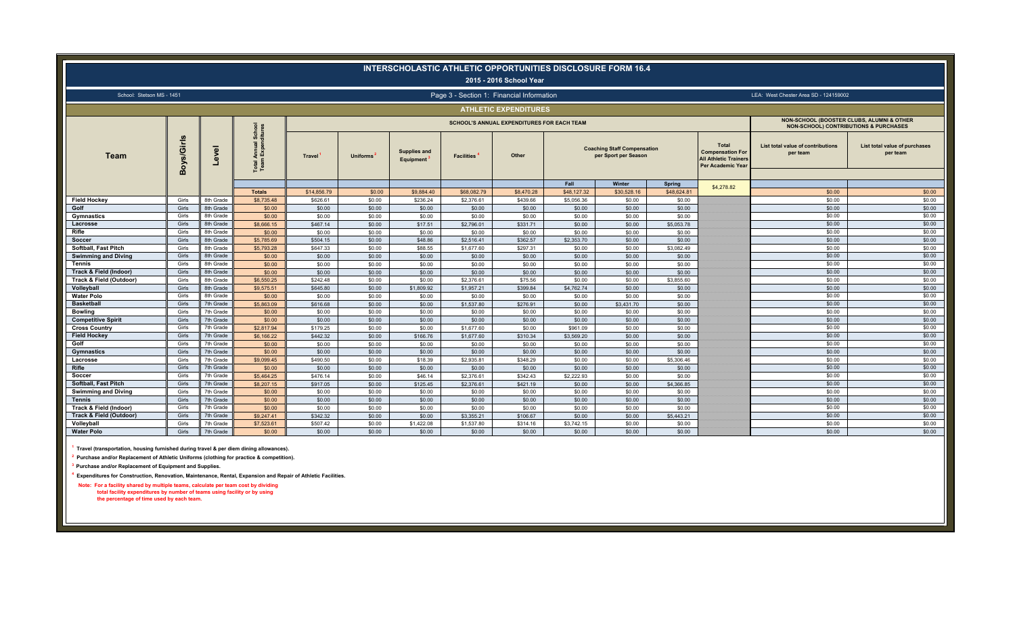|                                             |                 |                        |                               |                      |                  |                                         |                          | 2015 - 2016 School Year                           | INTERSCHOLASTIC ATHLETIC OPPORTUNITIES DISCLOSURE FORM 16.4 |                                                            |                      |                                                                                                     |                                                                                               |                                           |
|---------------------------------------------|-----------------|------------------------|-------------------------------|----------------------|------------------|-----------------------------------------|--------------------------|---------------------------------------------------|-------------------------------------------------------------|------------------------------------------------------------|----------------------|-----------------------------------------------------------------------------------------------------|-----------------------------------------------------------------------------------------------|-------------------------------------------|
|                                             |                 |                        |                               |                      |                  |                                         |                          | Page 3 - Section 1: Financial Information         |                                                             |                                                            |                      |                                                                                                     |                                                                                               |                                           |
| School: Stetson MS - 1451                   |                 |                        |                               |                      |                  |                                         |                          |                                                   |                                                             |                                                            |                      |                                                                                                     | LEA: West Chester Area SD - 124159002                                                         |                                           |
|                                             |                 |                        |                               |                      |                  |                                         |                          | <b>ATHLETIC EXPENDITURES</b>                      |                                                             |                                                            |                      |                                                                                                     |                                                                                               |                                           |
|                                             |                 |                        | <b>School</b><br>ditures      |                      |                  |                                         |                          | <b>SCHOOL'S ANNUAL EXPENDITURES FOR EACH TEAM</b> |                                                             |                                                            |                      |                                                                                                     | NON-SCHOOL (BOOSTER CLUBS, ALUMNI & OTHER<br><b>NON-SCHOOL) CONTRIBUTIONS &amp; PURCHASES</b> |                                           |
| <b>Team</b>                                 | U)<br>Boys/Girl | Level                  | Total Annual S<br>Team Expend | <b>Travel</b>        | <b>Uniforms</b>  | <b>Supplies and</b><br><b>Equipment</b> | <b>Facilities</b>        | Other                                             |                                                             | <b>Coaching Staff Compensation</b><br>per Sport per Season |                      | <b>Total</b><br><b>Compensation For</b><br><b>All Athletic Trainers</b><br><b>Per Academic Year</b> | List total value of contributions<br>per team                                                 | List total value of purchases<br>per team |
|                                             |                 |                        |                               |                      |                  |                                         |                          |                                                   | Fall                                                        | Winter                                                     | Spring               | \$4,278.82                                                                                          |                                                                                               |                                           |
|                                             |                 |                        | <b>Totals</b>                 | \$14,856,79          | \$0.00           | \$9,884.40                              | \$68,082.79              | \$8,470.28                                        | \$48,127,32                                                 | \$30,528.16                                                | \$48,624,81          |                                                                                                     | \$0.00                                                                                        | \$0.00                                    |
| <b>Field Hockey</b>                         | Girls           | 8th Grade              | \$8,735.48                    | \$626.61             | \$0.00           | \$236.24                                | \$2,376.61               | \$439.66                                          | \$5,056.36                                                  | \$0.00                                                     | \$0.00               |                                                                                                     | \$0.00                                                                                        | \$0.00                                    |
| Golf                                        | Girls           | 8th Grade              | \$0.00                        | \$0.00               | \$0.00           | \$0.00                                  | \$0.00                   | \$0.00                                            | \$0.00                                                      | \$0.00                                                     | \$0.00               |                                                                                                     | \$0.00                                                                                        | \$0.00                                    |
| Gymnastics                                  | Girls           | 8th Grade              | \$0.00                        | \$0.00               | \$0.00           | \$0.00                                  | \$0.00                   | \$0.00                                            | \$0.00                                                      | \$0.00                                                     | \$0.00               |                                                                                                     | \$0.00                                                                                        | \$0.00                                    |
| Lacrosse<br>Rifle                           | Girls<br>Girls  | 8th Grade<br>8th Grade | \$8,666.15<br>\$0.00          | \$467.14<br>\$0.00   | \$0.00           | \$17.51<br>\$0.00                       | \$2,796.01<br>\$0.00     | \$331.71<br>\$0.00                                | \$0.00<br>\$0.00                                            | \$0.00<br>\$0.00                                           | \$5,053.78<br>\$0.00 |                                                                                                     | \$0.00<br>\$0.00                                                                              | \$0.00<br>\$0.00                          |
| Soccer                                      | Girls           | 8th Grade              | \$5,785.69                    | \$504.15             | \$0.00<br>\$0.00 | \$48.86                                 | \$2,516.41               | \$362.57                                          | \$2,353.70                                                  | \$0.00                                                     | \$0.00               |                                                                                                     | \$0.00                                                                                        | \$0.00                                    |
| <b>Softball, Fast Pitch</b>                 | Girls           | 8th Grade              | \$5,793.28                    | \$647.33             | \$0.00           | \$88.55                                 | \$1,677,60               | \$297.31                                          | \$0.00                                                      | \$0.00                                                     | \$3,082.49           |                                                                                                     | \$0.00                                                                                        | \$0.00                                    |
| <b>Swimming and Diving</b>                  | Girls           | 8th Grade              | \$0.00                        | \$0.00               | \$0.00           | \$0.00                                  | \$0.00                   | \$0.00                                            | \$0.00                                                      | \$0.00                                                     | \$0.00               |                                                                                                     | \$0.00                                                                                        | \$0.00                                    |
| <b>Tennis</b>                               | Girls           | 8th Grade              | \$0.00                        | \$0.00               | \$0.00           | \$0.00                                  | \$0.00                   | \$0.00                                            | \$0.00                                                      | \$0.00                                                     | \$0.00               |                                                                                                     | \$0.00                                                                                        | \$0.00                                    |
| Track & Field (Indoor)                      | Girls           | 8th Grade              | \$0.00                        | \$0.00               | \$0.00           | \$0.00                                  | \$0.00                   | \$0.00                                            | \$0.00                                                      | \$0.00                                                     | \$0.00               |                                                                                                     | \$0.00                                                                                        | \$0.00                                    |
| Track & Field (Outdoor)                     | Girls           | 8th Grade              | \$6,550.25                    | \$242.48             | \$0.00           | \$0.00                                  | \$2,376.61               | \$75.56                                           | \$0.00                                                      | \$0.00                                                     | \$3,855.60           |                                                                                                     | \$0.00                                                                                        | \$0.00                                    |
| Volleyball                                  | Girls           | 8th Grade              | \$9,575.51                    | \$645.80             | \$0.00           | \$1,809.92                              | \$1,957.21               | \$399.84                                          | \$4,762.74                                                  | \$0.00                                                     | \$0.00               |                                                                                                     | \$0.00                                                                                        | \$0.00                                    |
| <b>Water Polo</b>                           | Girls           | 8th Grade              | \$0.00                        | \$0.00               | \$0.00           | \$0.00                                  | \$0.00                   | \$0.00                                            | \$0.00                                                      | \$0.00                                                     | \$0.00               |                                                                                                     | \$0.00                                                                                        | \$0.00                                    |
| <b>Basketball</b>                           | Girls           | 7th Grade              | \$5,863.09                    | \$616,68             | \$0.00           | \$0.00                                  | \$1,537.80               | \$276.91                                          | \$0.00                                                      | \$3,431,70                                                 | \$0.00               |                                                                                                     | \$0.00                                                                                        | \$0.00                                    |
| <b>Bowling</b>                              | Girls           | 7th Grade              | \$0.00                        | \$0.00               | \$0.00           | \$0.00                                  | \$0.00                   | \$0.00                                            | \$0.00                                                      | \$0.00                                                     | \$0.00               |                                                                                                     | \$0.00                                                                                        | \$0.00                                    |
| <b>Competitive Spirit</b>                   | Girls           | 7th Grade              | \$0.00                        | \$0.00               | \$0.00           | \$0.00                                  | \$0.00                   | \$0.00                                            | \$0.00                                                      | \$0.00                                                     | \$0.00               |                                                                                                     | \$0.00                                                                                        | \$0.00<br>\$0.00                          |
| <b>Cross Country</b><br><b>Field Hockey</b> | Girls<br>Girls  | 7th Grade<br>7th Grade | \$2,817.94<br>\$6,166.22      | \$179.25<br>\$442.32 | \$0.00<br>\$0.00 | \$0.00<br>\$166.76                      | \$1,677.60<br>\$1,677,60 | \$0.00<br>\$310.34                                | \$961.09<br>\$3,569.20                                      | \$0.00<br>\$0.00                                           | \$0.00<br>\$0.00     |                                                                                                     | \$0.00<br>\$0.00                                                                              | \$0.00                                    |
| Golf                                        | Girls           | 7th Grade              | \$0.00                        | \$0.00               | \$0.00           | \$0.00                                  | \$0.00                   | \$0.00                                            | \$0.00                                                      | \$0.00                                                     | \$0.00               |                                                                                                     | \$0.00                                                                                        | \$0.00                                    |
| Gymnastics                                  | Girls           | 7th Grade              | \$0.00                        | \$0.00               | \$0.00           | \$0.00                                  | \$0.00                   | \$0.00                                            | \$0.00                                                      | \$0.00                                                     | \$0.00               |                                                                                                     | \$0.00                                                                                        | \$0.00                                    |
| Lacrosse                                    | Girls           | 7th Grade              | \$9,099.45                    | \$490.50             | \$0.00           | \$18.39                                 | \$2,935.81               | \$348.29                                          | \$0.00                                                      | \$0.00                                                     | \$5,306.46           |                                                                                                     | \$0.00                                                                                        | \$0.00                                    |
| Rifle                                       | Girls           | 7th Grade              | \$0.00                        | \$0.00               | \$0.00           | \$0.00                                  | \$0.00                   | \$0.00                                            | \$0.00                                                      | \$0.00                                                     | \$0.00               |                                                                                                     | \$0.00                                                                                        | \$0.00                                    |
| Soccer                                      | Girls           | 7th Grade              | \$5,464.25                    | \$476.14             | \$0.00           | \$46.14                                 | \$2,376.61               | \$342.43                                          | \$2,222.93                                                  | \$0.00                                                     | \$0.00               |                                                                                                     | \$0.00                                                                                        | \$0.00                                    |
| <b>Softball, Fast Pitch</b>                 | Girls           | 7th Grade              | \$8,207.15                    | \$917.05             | \$0.00           | \$125.45                                | \$2,376.61               | \$421.19                                          | \$0.00                                                      | \$0.00                                                     | \$4,366.85           |                                                                                                     | \$0.00                                                                                        | \$0.00                                    |
| <b>Swimming and Diving</b>                  | Girls           | 7th Grade              | \$0.00                        | \$0.00               | \$0.00           | \$0.00                                  | \$0.00                   | \$0.00                                            | \$0.00                                                      | \$0.00                                                     | \$0.00               |                                                                                                     | \$0.00                                                                                        | \$0.00                                    |
| <b>Tennis</b>                               | Girls           | 7th Grade              | \$0.00                        | \$0.00               | \$0.00           | \$0.00                                  | \$0.00                   | \$0.00                                            | \$0.00                                                      | \$0.00                                                     | \$0.00               |                                                                                                     | \$0.00                                                                                        | \$0.00                                    |
| Track & Field (Indoor)                      | Girls           | 7th Grade              | \$0.00                        | \$0.00               | \$0.00           | \$0.00                                  | \$0.00                   | \$0.00                                            | \$0.00                                                      | \$0.00                                                     | \$0.00               |                                                                                                     | \$0.00                                                                                        | \$0.00                                    |
| Track & Field (Outdoor)                     | Girls           | 7th Grade              | \$9,247.41                    | \$342.32             | \$0.00           | \$0.00                                  | \$3,355.21               | \$106.67                                          | \$0.00                                                      | \$0.00                                                     | \$5,443.21           |                                                                                                     | \$0.00                                                                                        | \$0.00                                    |
| Volleyball                                  | Girls           | 7th Grade              | \$7,523.61                    | \$507.42             | \$0.00           | \$1,422.08                              | \$1,537.80               | \$314.16                                          | \$3,742.15                                                  | \$0.00                                                     | \$0.00               |                                                                                                     | \$0.00<br>\$0.00                                                                              | \$0.00<br>\$0.00                          |
| <b>Water Polo</b>                           | Girls           | 7th Grade              | \$0.00                        | \$0.00               | \$0.00           | \$0.00                                  | \$0.00                   | \$0.00                                            | \$0.00                                                      | \$0.00                                                     | \$0.00               |                                                                                                     |                                                                                               |                                           |

**1 Travel (transportation, housing furnished during travel & per diem dining allowances).**

**2 Purchase and/or Replacement of Athletic Uniforms (clothing for practice & competition).**

**3 Purchase and/or Replacement of Equipment and Supplies.**

**4 Expenditures for Construction, Renovation, Maintenance, Rental, Expansion and Repair of Athletic Facilities.**

 **Note: For a facility shared by multiple teams, calculate per team cost by dividing total facility expenditures by number of teams using facility or by using the percentage of time used by each team.**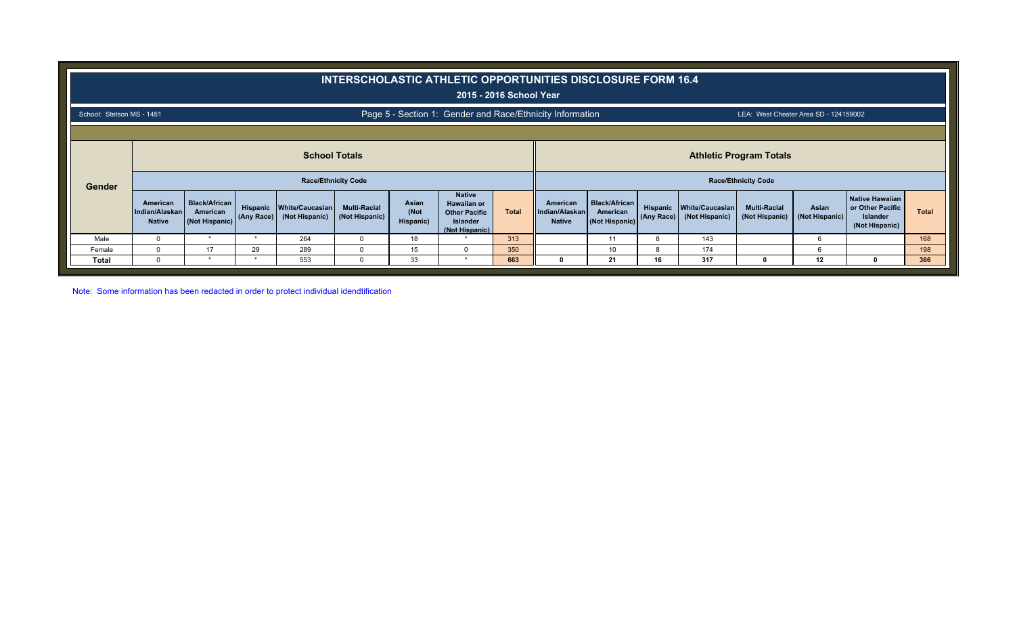|                           |                                             |                                                    |            |                                            |                                       |                            | <b>INTERSCHOLASTIC ATHLETIC OPPORTUNITIES DISCLOSURE FORM 16.4</b><br>2015 - 2016 School Year    |              |                                             |                                                    |            |                                            |                                       |                         |                                                                          |              |
|---------------------------|---------------------------------------------|----------------------------------------------------|------------|--------------------------------------------|---------------------------------------|----------------------------|--------------------------------------------------------------------------------------------------|--------------|---------------------------------------------|----------------------------------------------------|------------|--------------------------------------------|---------------------------------------|-------------------------|--------------------------------------------------------------------------|--------------|
| School: Stetson MS - 1451 |                                             |                                                    |            |                                            |                                       |                            | Page 5 - Section 1: Gender and Race/Ethnicity Information                                        |              |                                             |                                                    |            |                                            | LEA: West Chester Area SD - 124159002 |                         |                                                                          |              |
|                           |                                             |                                                    |            |                                            |                                       |                            |                                                                                                  |              |                                             |                                                    |            |                                            |                                       |                         |                                                                          |              |
|                           |                                             |                                                    |            | <b>School Totals</b>                       |                                       |                            |                                                                                                  |              |                                             |                                                    |            |                                            | <b>Athletic Program Totals</b>        |                         |                                                                          |              |
| Gender                    |                                             |                                                    |            | <b>Race/Ethnicity Code</b>                 |                                       |                            |                                                                                                  |              |                                             |                                                    |            |                                            | <b>Race/Ethnicity Code</b>            |                         |                                                                          |              |
|                           | American<br>Indian/Alaskan<br><b>Native</b> | <b>Black/African</b><br>American<br>(Not Hispanic) | (Any Race) | Hispanic White/Caucasian<br>(Not Hispanic) | <b>Multi-Racial</b><br>(Not Hispanic) | Asian<br>(Not<br>Hispanic) | <b>Native</b><br><b>Hawaiian or</b><br><b>Other Pacific</b><br><b>Islander</b><br>(Not Hispanic) | <b>Total</b> | American<br>Indian/Alaskan<br><b>Native</b> | <b>Black/African</b><br>American<br>(Not Hispanic) | (Any Race) | Hispanic White/Caucasian<br>(Not Hispanic) | <b>Multi-Racial</b><br>(Not Hispanic) | Asian<br>(Not Hispanic) | Native Hawaiian<br>or Other Pacific<br><b>Islander</b><br>(Not Hispanic) | <b>Total</b> |
| Male                      |                                             | $\star$                                            |            | 264                                        | $\Omega$                              | 18                         |                                                                                                  | 313          |                                             | 11                                                 |            | 143                                        |                                       | 6                       |                                                                          | 168          |
| Female                    | $\Omega$                                    | 17                                                 | 29         | 289                                        | $\Omega$                              | 15                         |                                                                                                  | 350          |                                             | 10                                                 |            | 174                                        |                                       | 6                       |                                                                          | 198          |
| Total                     |                                             | $\star$                                            | $\star$    | 553                                        | $\Omega$                              | 33                         |                                                                                                  | 663          |                                             | 21                                                 | 16         | 317                                        |                                       | $12 \,$                 |                                                                          | 366          |

Note: Some information has been redacted in order to protect individual idendtification